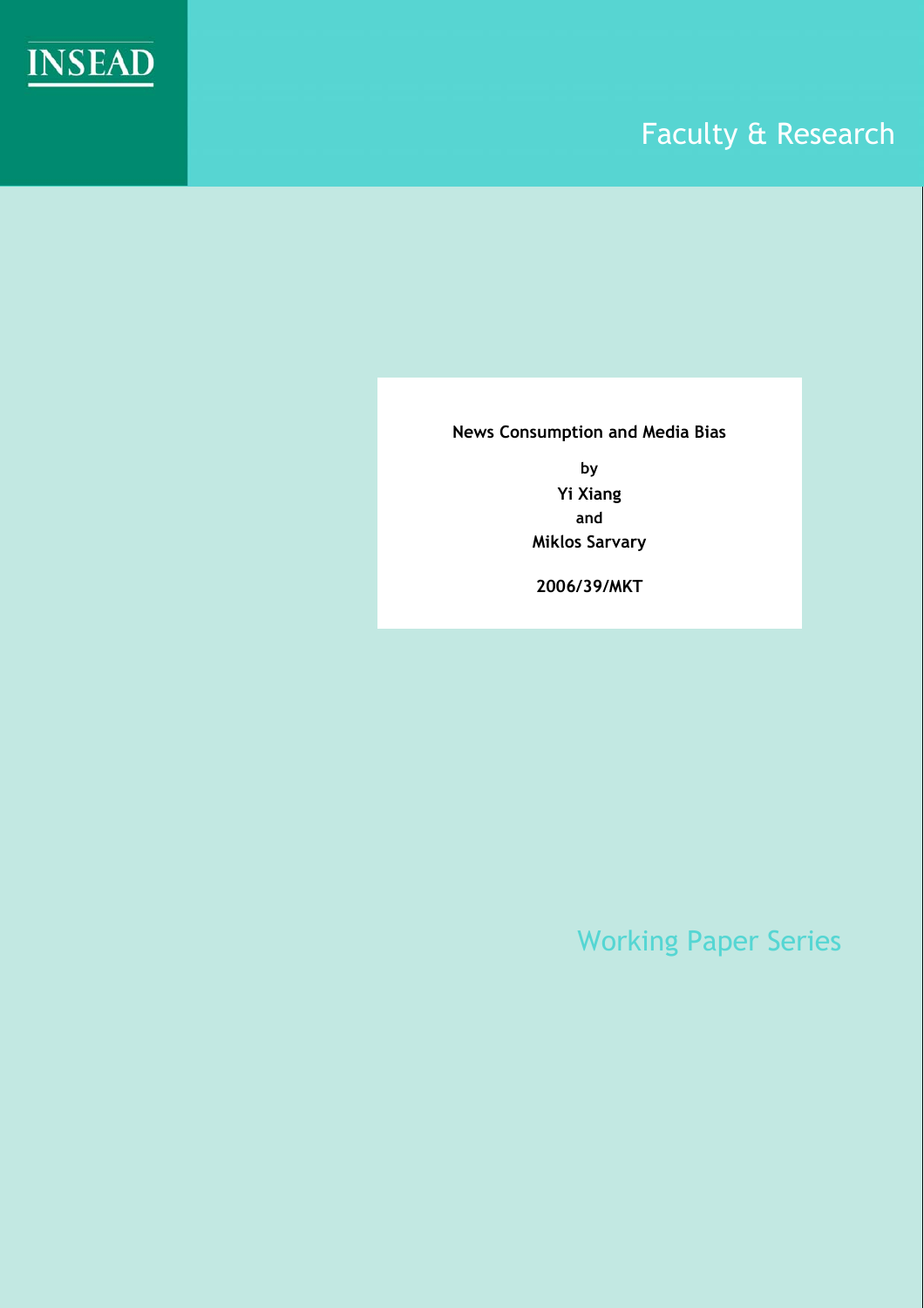

# Faculty & Research

**News Consumption and Media Bias**

**by Yi Xiang and Miklos Sarvary** 

**2006/39/MKT** 

Working Paper Series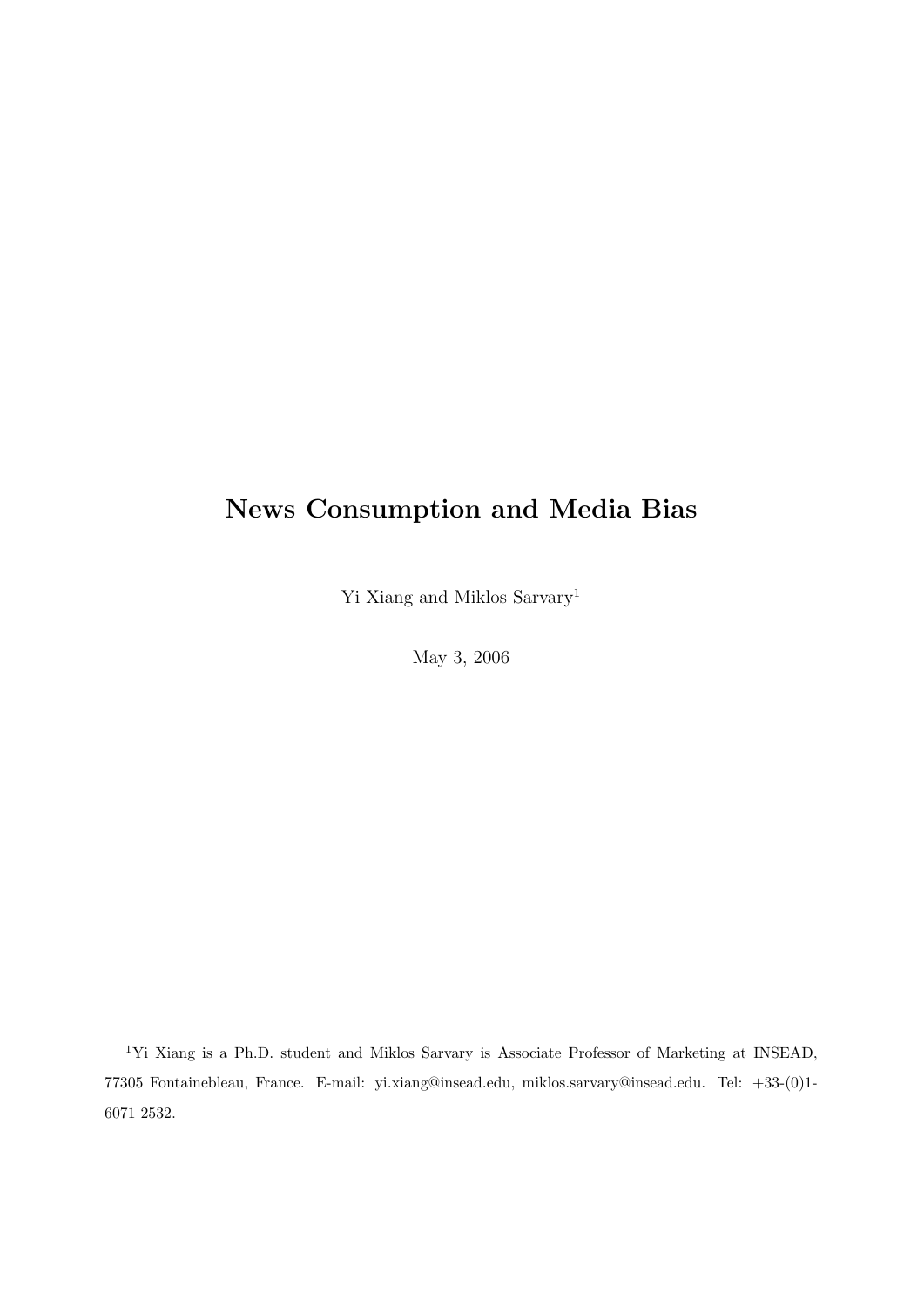## News Consumption and Media Bias

Yi Xiang and Miklos $\operatorname{Sarvary}^1$ 

May 3, 2006

<sup>1</sup>Yi Xiang is a Ph.D. student and Miklos Sarvary is Associate Professor of Marketing at INSEAD, 77305 Fontainebleau, France. E-mail: yi.xiang@insead.edu, miklos.sarvary@insead.edu. Tel: +33-(0)1- 6071 2532.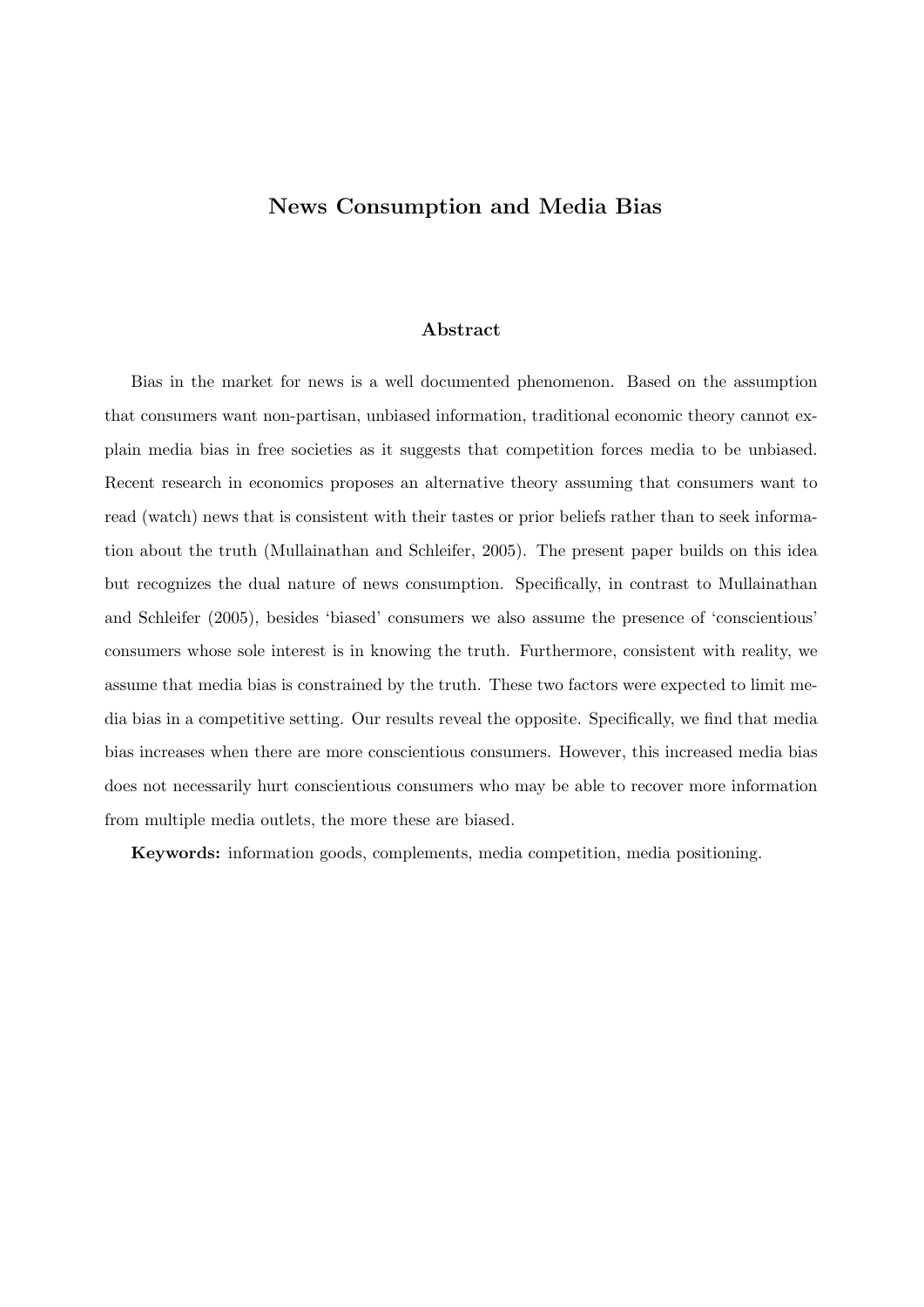## News Consumption and Media Bias

## Abstract

Bias in the market for news is a well documented phenomenon. Based on the assumption that consumers want non-partisan, unbiased information, traditional economic theory cannot explain media bias in free societies as it suggests that competition forces media to be unbiased. Recent research in economics proposes an alternative theory assuming that consumers want to read (watch) news that is consistent with their tastes or prior beliefs rather than to seek information about the truth (Mullainathan and Schleifer, 2005). The present paper builds on this idea but recognizes the dual nature of news consumption. Specifically, in contrast to Mullainathan and Schleifer (2005), besides 'biased' consumers we also assume the presence of 'conscientious' consumers whose sole interest is in knowing the truth. Furthermore, consistent with reality, we assume that media bias is constrained by the truth. These two factors were expected to limit media bias in a competitive setting. Our results reveal the opposite. Specifically, we find that media bias increases when there are more conscientious consumers. However, this increased media bias does not necessarily hurt conscientious consumers who may be able to recover more information from multiple media outlets, the more these are biased.

Keywords: information goods, complements, media competition, media positioning.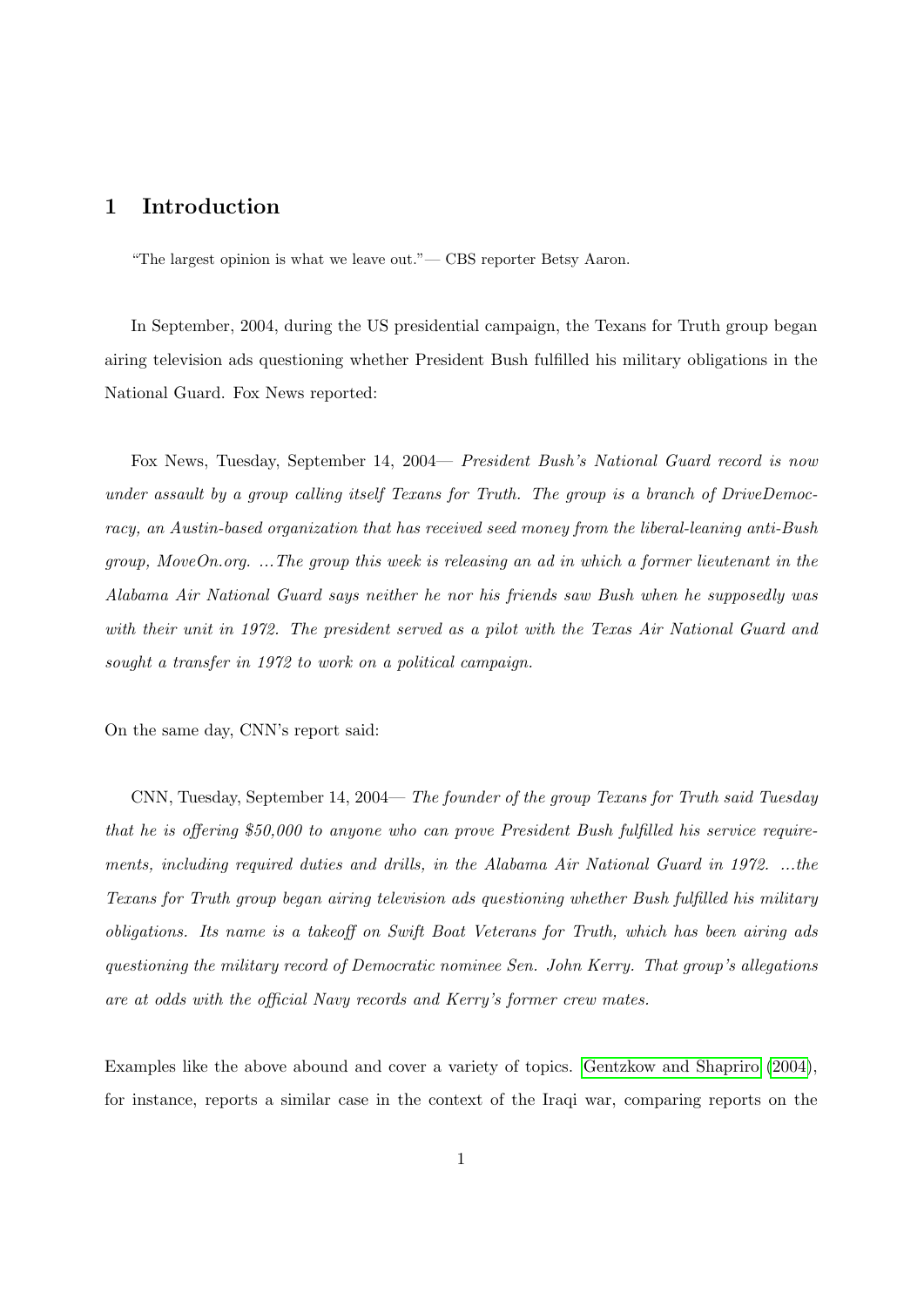## 1 Introduction

"The largest opinion is what we leave out."— CBS reporter Betsy Aaron.

In September, 2004, during the US presidential campaign, the Texans for Truth group began airing television ads questioning whether President Bush fulfilled his military obligations in the National Guard. Fox News reported:

Fox News, Tuesday, September 14, 2004— President Bush's National Guard record is now under assault by a group calling itself Texans for Truth. The group is a branch of DriveDemocracy, an Austin-based organization that has received seed money from the liberal-leaning anti-Bush  $group, MoveOn.org$ ...The group this week is releasing an ad in which a former lieutenant in the Alabama Air National Guard says neither he nor his friends saw Bush when he supposedly was with their unit in 1972. The president served as a pilot with the Texas Air National Guard and sought a transfer in 1972 to work on a political campaign.

On the same day, CNN's report said:

CNN, Tuesday, September 14, 2004— The founder of the group Texans for Truth said Tuesday that he is offering \$50,000 to anyone who can prove President Bush fulfilled his service requirements, including required duties and drills, in the Alabama Air National Guard in 1972. ...the Texans for Truth group began airing television ads questioning whether Bush fulfilled his military obligations. Its name is a takeoff on Swift Boat Veterans for Truth, which has been airing ads questioning the military record of Democratic nominee Sen. John Kerry. That group's allegations are at odds with the official Navy records and Kerry's former crew mates.

Examples like the above abound and cover a variety of topics. [Gentzkow and Shapriro](#page-31-0) [\(2004\)](#page-31-0), for instance, reports a similar case in the context of the Iraqi war, comparing reports on the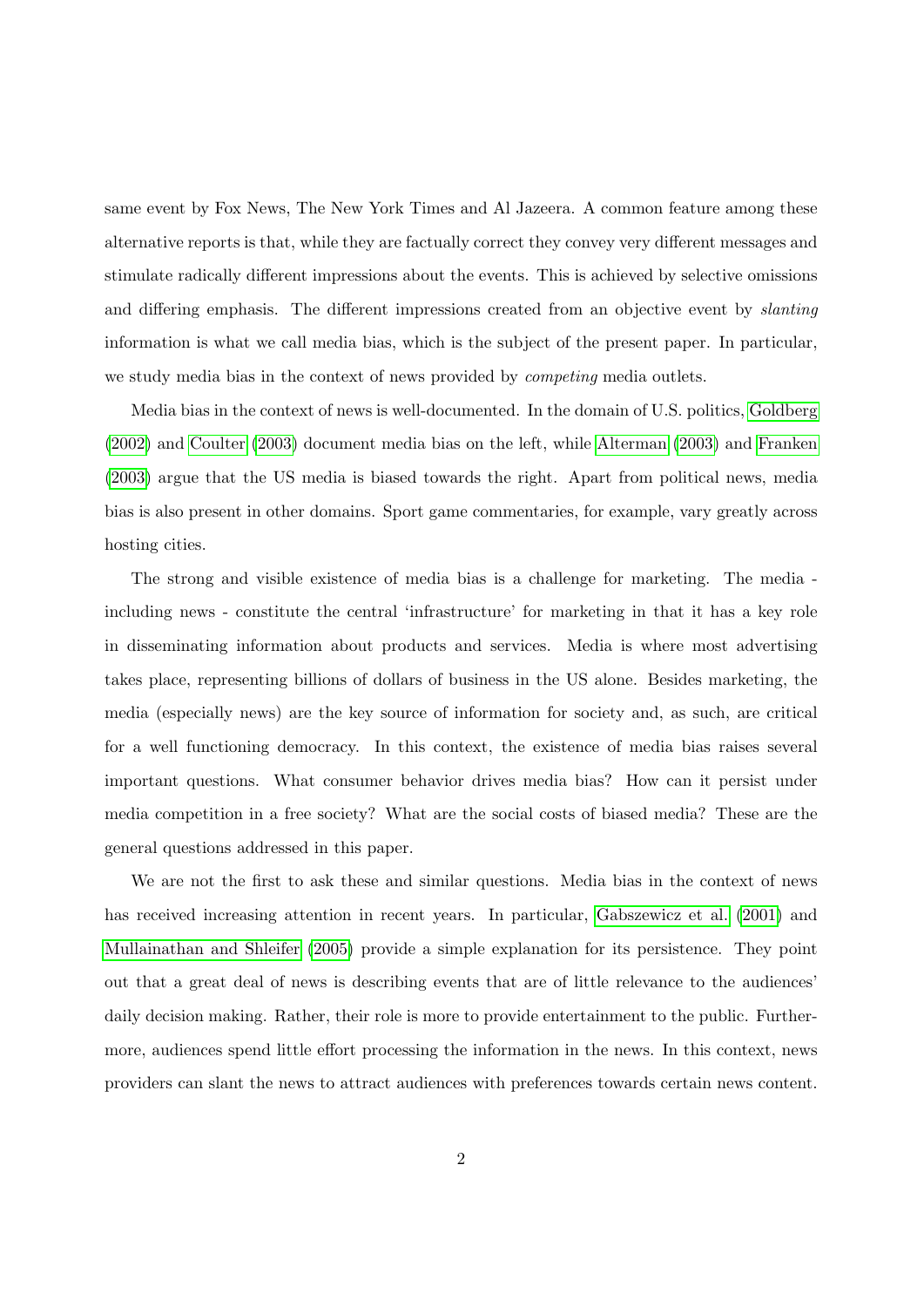same event by Fox News, The New York Times and Al Jazeera. A common feature among these alternative reports is that, while they are factually correct they convey very different messages and stimulate radically different impressions about the events. This is achieved by selective omissions and differing emphasis. The different impressions created from an objective event by *slanting* information is what we call media bias, which is the subject of the present paper. In particular, we study media bias in the context of news provided by *competing* media outlets.

Media bias in the context of news is well-documented. In the domain of U.S. politics, [Goldberg](#page-32-0) [\(2002\)](#page-32-0) and [Coulter](#page-31-1) [\(2003\)](#page-31-1) document media bias on the left, while [Alterman](#page-31-2) [\(2003\)](#page-31-2) and [Franken](#page-31-3) [\(2003\)](#page-31-3) argue that the US media is biased towards the right. Apart from political news, media bias is also present in other domains. Sport game commentaries, for example, vary greatly across hosting cities.

The strong and visible existence of media bias is a challenge for marketing. The media including news - constitute the central 'infrastructure' for marketing in that it has a key role in disseminating information about products and services. Media is where most advertising takes place, representing billions of dollars of business in the US alone. Besides marketing, the media (especially news) are the key source of information for society and, as such, are critical for a well functioning democracy. In this context, the existence of media bias raises several important questions. What consumer behavior drives media bias? How can it persist under media competition in a free society? What are the social costs of biased media? These are the general questions addressed in this paper.

We are not the first to ask these and similar questions. Media bias in the context of news has received increasing attention in recent years. In particular, [Gabszewicz et al.](#page-31-4) [\(2001\)](#page-31-4) and [Mullainathan and Shleifer](#page-32-1) [\(2005\)](#page-32-1) provide a simple explanation for its persistence. They point out that a great deal of news is describing events that are of little relevance to the audiences' daily decision making. Rather, their role is more to provide entertainment to the public. Furthermore, audiences spend little effort processing the information in the news. In this context, news providers can slant the news to attract audiences with preferences towards certain news content.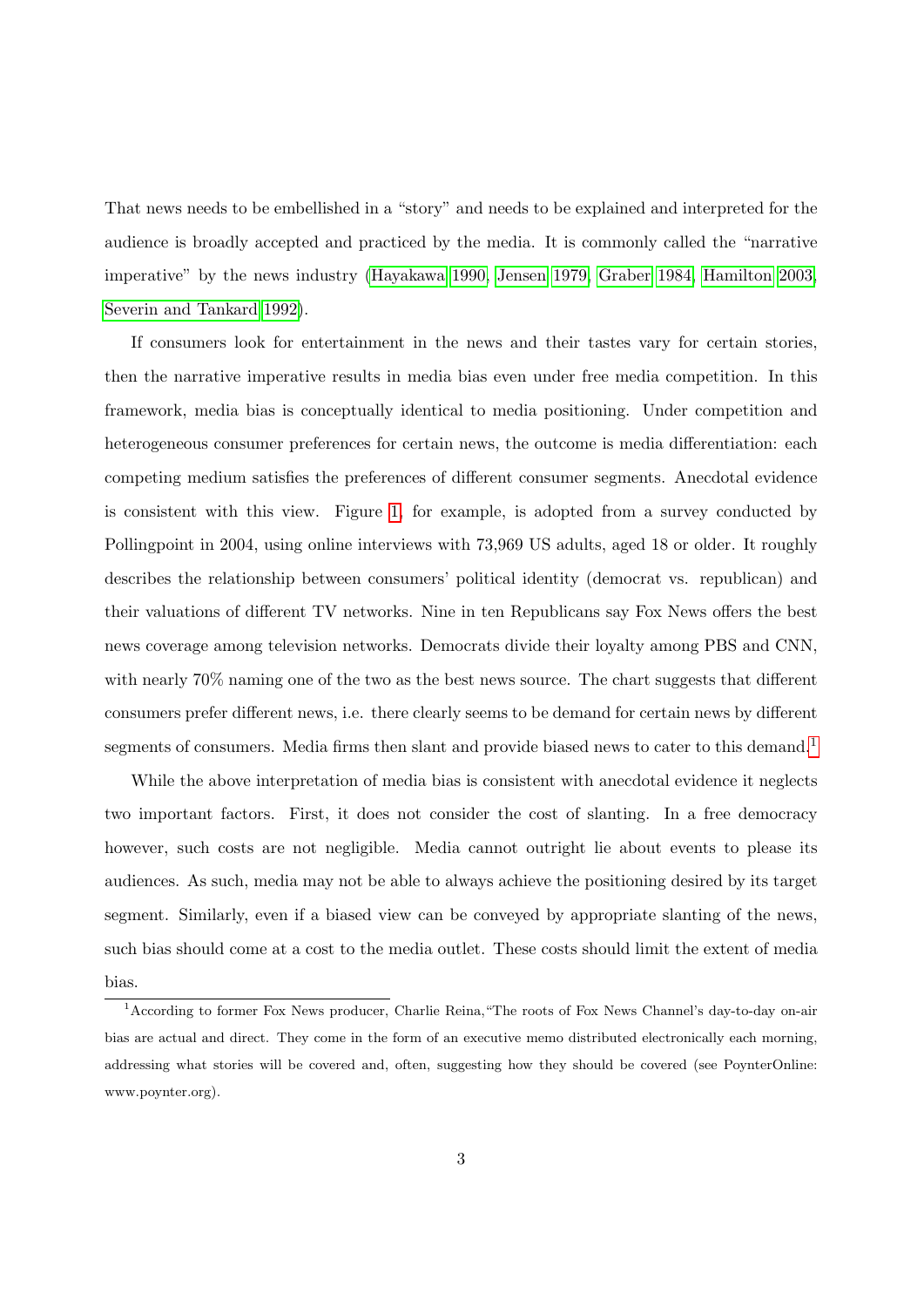That news needs to be embellished in a "story" and needs to be explained and interpreted for the audience is broadly accepted and practiced by the media. It is commonly called the "narrative imperative" by the news industry [\(Hayakawa 1990,](#page-32-2) [Jensen 1979,](#page-32-3) [Graber 1984,](#page-32-4) [Hamilton 2003,](#page-32-5) [Severin and Tankard 1992\)](#page-32-6).

If consumers look for entertainment in the news and their tastes vary for certain stories, then the narrative imperative results in media bias even under free media competition. In this framework, media bias is conceptually identical to media positioning. Under competition and heterogeneous consumer preferences for certain news, the outcome is media differentiation: each competing medium satisfies the preferences of different consumer segments. Anecdotal evidence is consistent with this view. Figure [1,](#page-6-0) for example, is adopted from a survey conducted by Pollingpoint in 2004, using online interviews with 73,969 US adults, aged 18 or older. It roughly describes the relationship between consumers' political identity (democrat vs. republican) and their valuations of different TV networks. Nine in ten Republicans say Fox News offers the best news coverage among television networks. Democrats divide their loyalty among PBS and CNN, with nearly  $70\%$  naming one of the two as the best news source. The chart suggests that different consumers prefer different news, i.e. there clearly seems to be demand for certain news by different segments of consumers. Media firms then slant and provide biased news to cater to this demand.<sup>[1](#page-5-0)</sup>

While the above interpretation of media bias is consistent with anecdotal evidence it neglects two important factors. First, it does not consider the cost of slanting. In a free democracy however, such costs are not negligible. Media cannot outright lie about events to please its audiences. As such, media may not be able to always achieve the positioning desired by its target segment. Similarly, even if a biased view can be conveyed by appropriate slanting of the news, such bias should come at a cost to the media outlet. These costs should limit the extent of media bias.

<span id="page-5-0"></span><sup>1</sup>According to former Fox News producer, Charlie Reina,"The roots of Fox News Channel's day-to-day on-air bias are actual and direct. They come in the form of an executive memo distributed electronically each morning, addressing what stories will be covered and, often, suggesting how they should be covered (see PoynterOnline: www.poynter.org).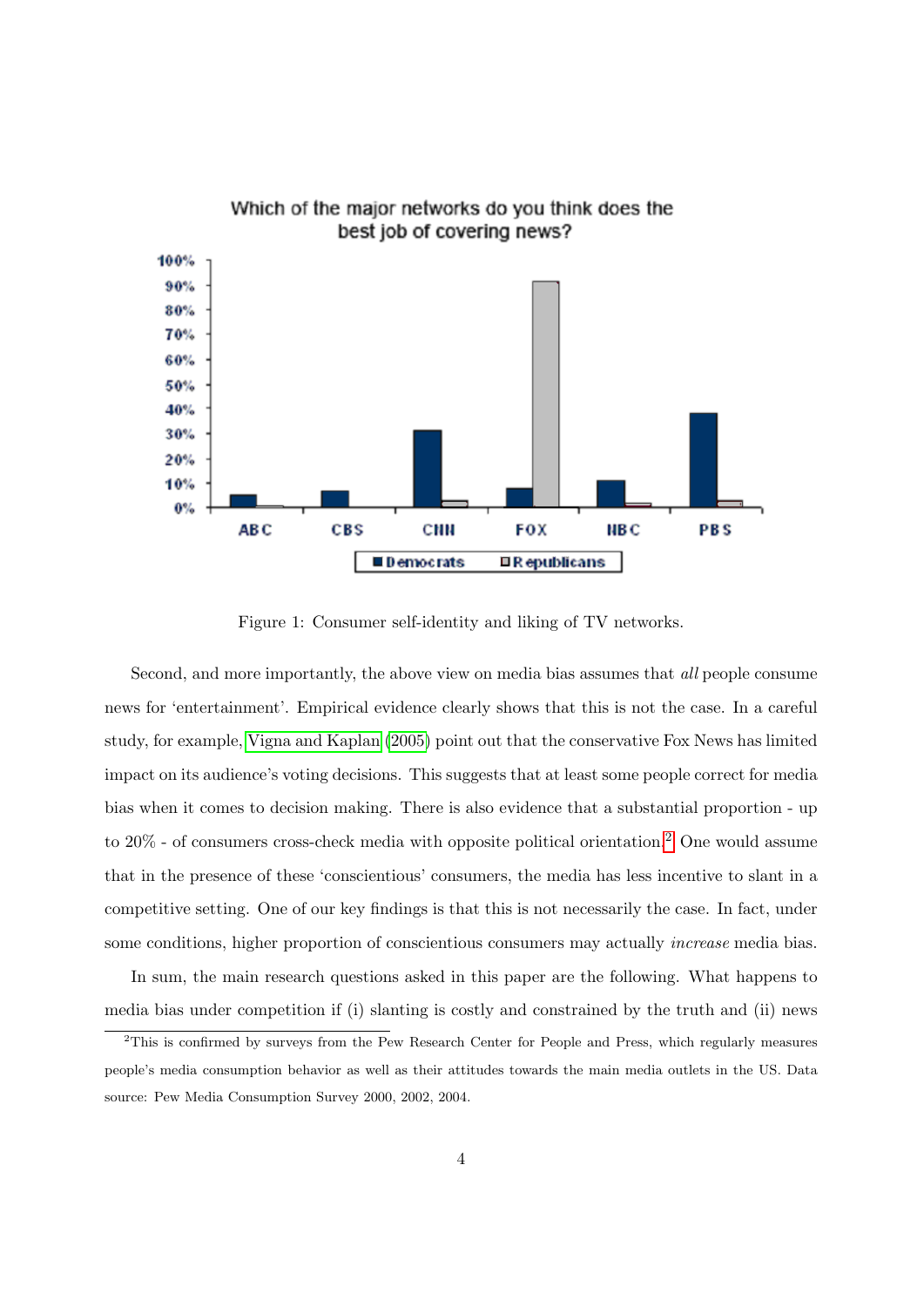

Which of the major networks do you think does the best job of covering news?

<span id="page-6-0"></span>Figure 1: Consumer self-identity and liking of TV networks.

Second, and more importantly, the above view on media bias assumes that all people consume news for 'entertainment'. Empirical evidence clearly shows that this is not the case. In a careful study, for example, [Vigna and Kaplan](#page-32-7) [\(2005\)](#page-32-7) point out that the conservative Fox News has limited impact on its audience's voting decisions. This suggests that at least some people correct for media bias when it comes to decision making. There is also evidence that a substantial proportion - up to 20% - of consumers cross-check media with opposite political orientation.[2](#page-6-1) One would assume that in the presence of these 'conscientious' consumers, the media has less incentive to slant in a competitive setting. One of our key findings is that this is not necessarily the case. In fact, under some conditions, higher proportion of conscientious consumers may actually *increase* media bias.

In sum, the main research questions asked in this paper are the following. What happens to media bias under competition if (i) slanting is costly and constrained by the truth and (ii) news

<span id="page-6-1"></span><sup>2</sup>This is confirmed by surveys from the Pew Research Center for People and Press, which regularly measures people's media consumption behavior as well as their attitudes towards the main media outlets in the US. Data source: Pew Media Consumption Survey 2000, 2002, 2004.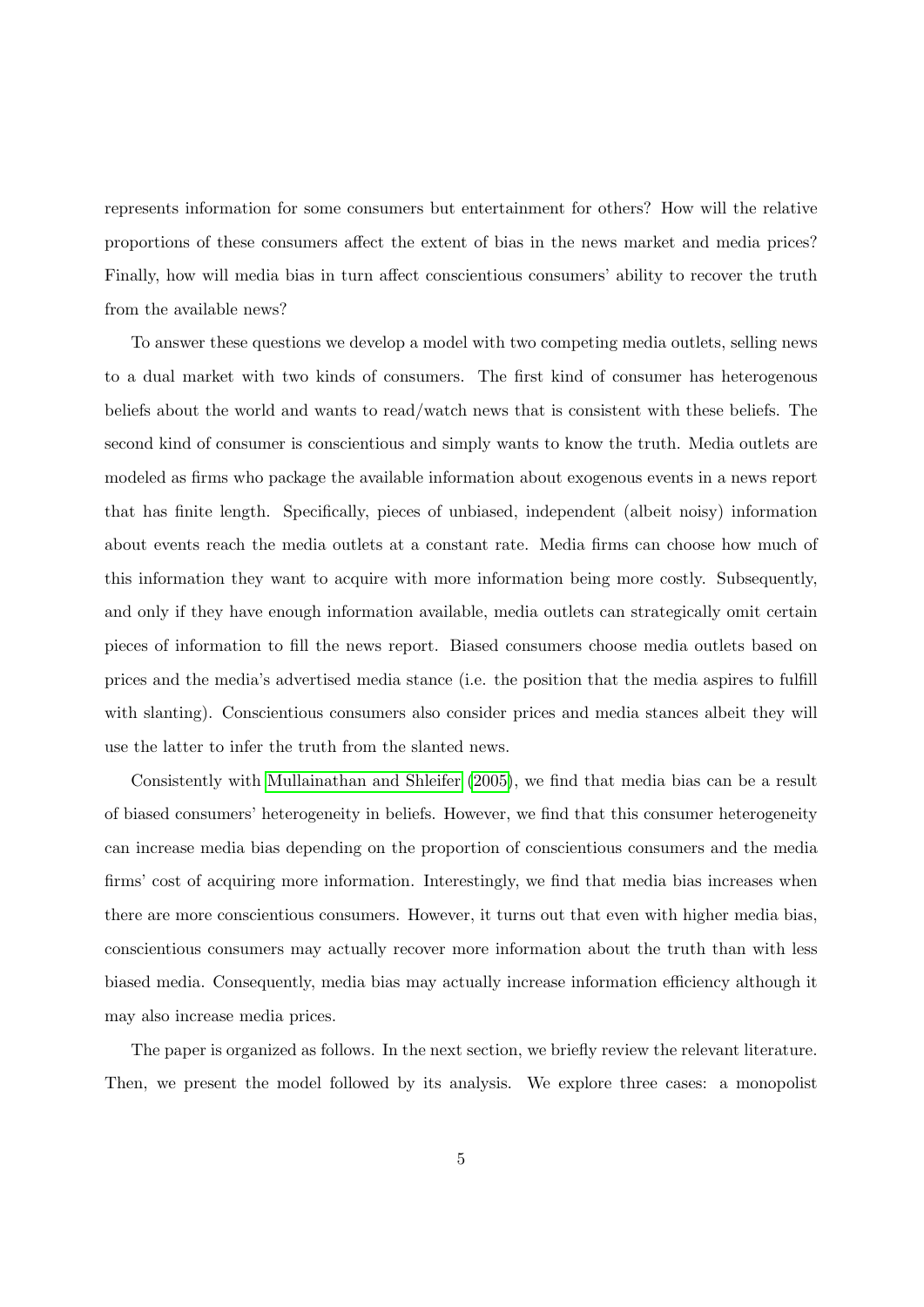represents information for some consumers but entertainment for others? How will the relative proportions of these consumers affect the extent of bias in the news market and media prices? Finally, how will media bias in turn affect conscientious consumers' ability to recover the truth from the available news?

To answer these questions we develop a model with two competing media outlets, selling news to a dual market with two kinds of consumers. The first kind of consumer has heterogenous beliefs about the world and wants to read/watch news that is consistent with these beliefs. The second kind of consumer is conscientious and simply wants to know the truth. Media outlets are modeled as firms who package the available information about exogenous events in a news report that has finite length. Specifically, pieces of unbiased, independent (albeit noisy) information about events reach the media outlets at a constant rate. Media firms can choose how much of this information they want to acquire with more information being more costly. Subsequently, and only if they have enough information available, media outlets can strategically omit certain pieces of information to fill the news report. Biased consumers choose media outlets based on prices and the media's advertised media stance (i.e. the position that the media aspires to fulfill with slanting). Conscientious consumers also consider prices and media stances albeit they will use the latter to infer the truth from the slanted news.

Consistently with [Mullainathan and Shleifer](#page-32-1) [\(2005\)](#page-32-1), we find that media bias can be a result of biased consumers' heterogeneity in beliefs. However, we find that this consumer heterogeneity can increase media bias depending on the proportion of conscientious consumers and the media firms' cost of acquiring more information. Interestingly, we find that media bias increases when there are more conscientious consumers. However, it turns out that even with higher media bias, conscientious consumers may actually recover more information about the truth than with less biased media. Consequently, media bias may actually increase information efficiency although it may also increase media prices.

The paper is organized as follows. In the next section, we briefly review the relevant literature. Then, we present the model followed by its analysis. We explore three cases: a monopolist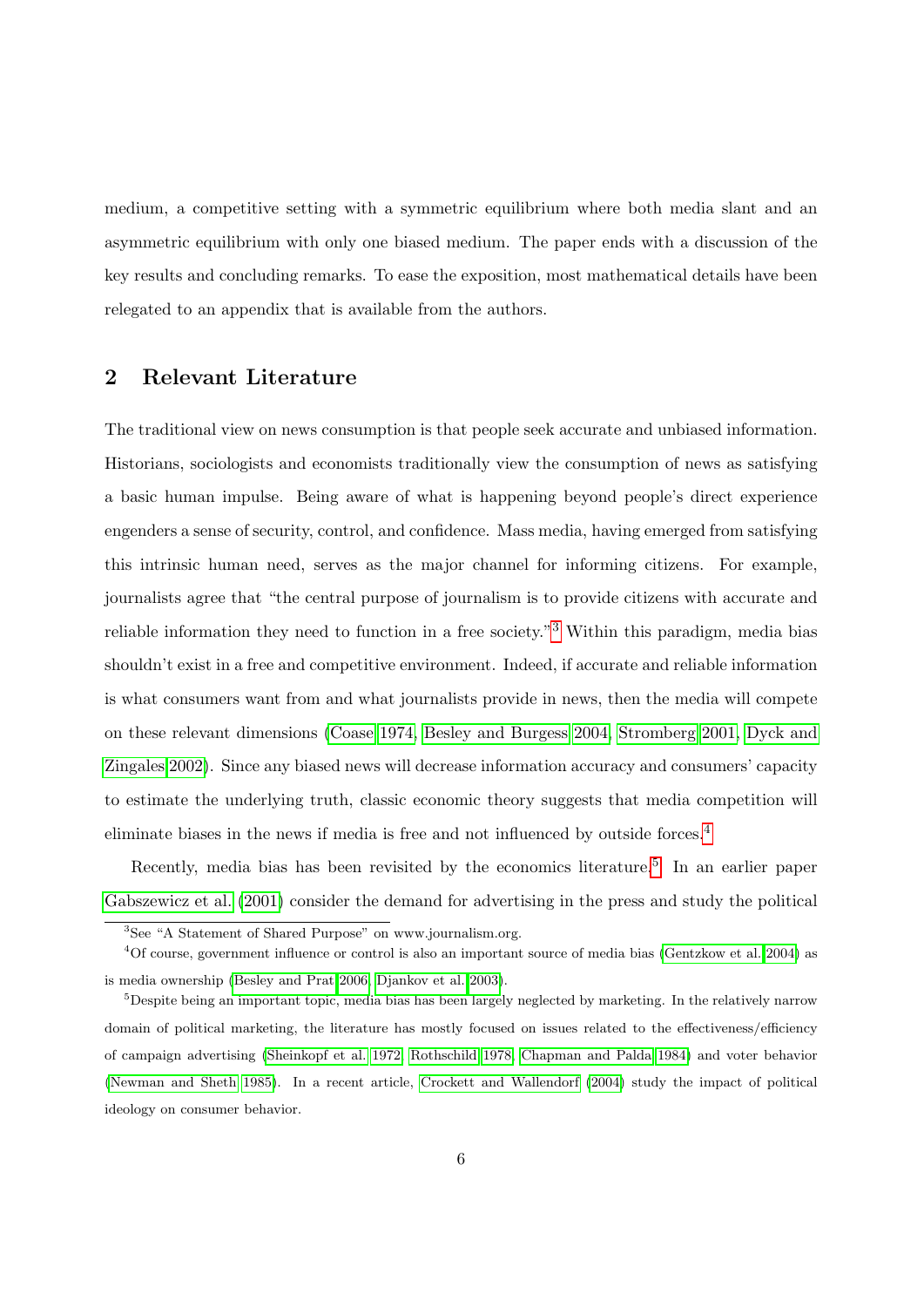medium, a competitive setting with a symmetric equilibrium where both media slant and an asymmetric equilibrium with only one biased medium. The paper ends with a discussion of the key results and concluding remarks. To ease the exposition, most mathematical details have been relegated to an appendix that is available from the authors.

## 2 Relevant Literature

The traditional view on news consumption is that people seek accurate and unbiased information. Historians, sociologists and economists traditionally view the consumption of news as satisfying a basic human impulse. Being aware of what is happening beyond people's direct experience engenders a sense of security, control, and confidence. Mass media, having emerged from satisfying this intrinsic human need, serves as the major channel for informing citizens. For example, journalists agree that "the central purpose of journalism is to provide citizens with accurate and reliable information they need to function in a free society."[3](#page-8-0) Within this paradigm, media bias shouldn't exist in a free and competitive environment. Indeed, if accurate and reliable information is what consumers want from and what journalists provide in news, then the media will compete on these relevant dimensions [\(Coase 1974,](#page-31-5) [Besley and Burgess 2004,](#page-31-6) [Stromberg 2001,](#page-32-8) [Dyck and](#page-31-7) [Zingales 2002\)](#page-31-7). Since any biased news will decrease information accuracy and consumers' capacity to estimate the underlying truth, classic economic theory suggests that media competition will eliminate biases in the news if media is free and not influenced by outside forces.[4](#page-8-1)

Recently, media bias has been revisited by the economics literature.<sup>[5](#page-8-2)</sup> In an earlier paper [Gabszewicz et al.](#page-31-4) [\(2001\)](#page-31-4) consider the demand for advertising in the press and study the political

<span id="page-8-1"></span><span id="page-8-0"></span><sup>3</sup>See "A Statement of Shared Purpose" on www.journalism.org.

<sup>4</sup>Of course, government influence or control is also an important source of media bias [\(Gentzkow et al. 2004\)](#page-31-8) as is media ownership [\(Besley and Prat 2006,](#page-31-9) [Djankov et al. 2003\)](#page-31-10).

<span id="page-8-2"></span><sup>5</sup>Despite being an important topic, media bias has been largely neglected by marketing. In the relatively narrow domain of political marketing, the literature has mostly focused on issues related to the effectiveness/efficiency of campaign advertising [\(Sheinkopf et al. 1972,](#page-32-9) [Rothschild 1978,](#page-32-10) [Chapman and Palda 1984\)](#page-31-11) and voter behavior [\(Newman and Sheth 1985\)](#page-32-11). In a recent article, [Crockett and Wallendorf](#page-31-12) [\(2004\)](#page-31-12) study the impact of political ideology on consumer behavior.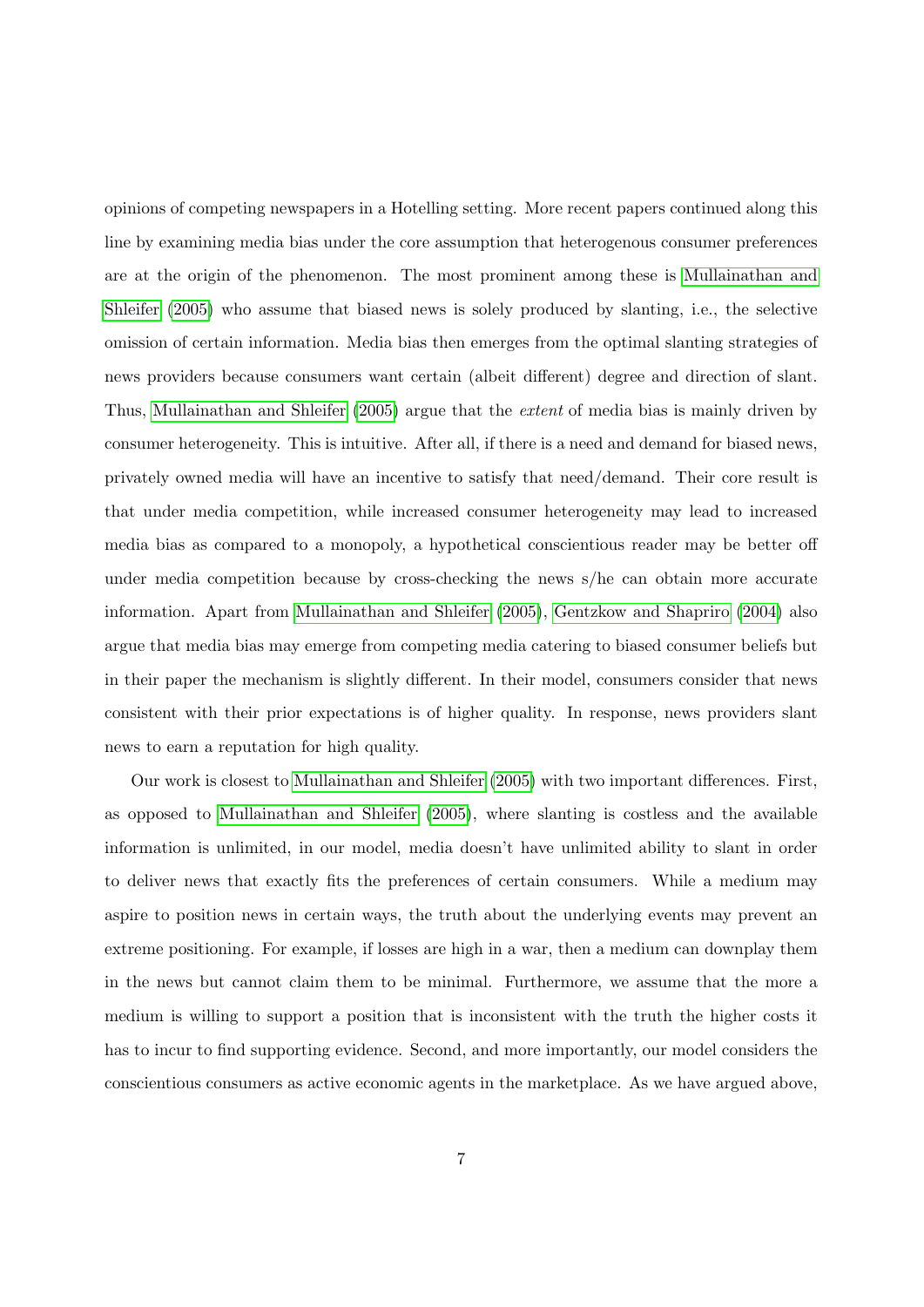opinions of competing newspapers in a Hotelling setting. More recent papers continued along this line by examining media bias under the core assumption that heterogenous consumer preferences are at the origin of the phenomenon. The most prominent among these is [Mullainathan and](#page-32-1) [Shleifer](#page-32-1) [\(2005\)](#page-32-1) who assume that biased news is solely produced by slanting, i.e., the selective omission of certain information. Media bias then emerges from the optimal slanting strategies of news providers because consumers want certain (albeit different) degree and direction of slant. Thus, [Mullainathan and Shleifer](#page-32-1) [\(2005\)](#page-32-1) argue that the *extent* of media bias is mainly driven by consumer heterogeneity. This is intuitive. After all, if there is a need and demand for biased news, privately owned media will have an incentive to satisfy that need/demand. Their core result is that under media competition, while increased consumer heterogeneity may lead to increased media bias as compared to a monopoly, a hypothetical conscientious reader may be better off under media competition because by cross-checking the news s/he can obtain more accurate information. Apart from [Mullainathan and Shleifer](#page-32-1) [\(2005\)](#page-32-1), [Gentzkow and Shapriro](#page-31-0) [\(2004\)](#page-31-0) also argue that media bias may emerge from competing media catering to biased consumer beliefs but in their paper the mechanism is slightly different. In their model, consumers consider that news consistent with their prior expectations is of higher quality. In response, news providers slant news to earn a reputation for high quality.

Our work is closest to [Mullainathan and Shleifer](#page-32-1) [\(2005\)](#page-32-1) with two important differences. First, as opposed to [Mullainathan and Shleifer](#page-32-1) [\(2005\)](#page-32-1), where slanting is costless and the available information is unlimited, in our model, media doesn't have unlimited ability to slant in order to deliver news that exactly fits the preferences of certain consumers. While a medium may aspire to position news in certain ways, the truth about the underlying events may prevent an extreme positioning. For example, if losses are high in a war, then a medium can downplay them in the news but cannot claim them to be minimal. Furthermore, we assume that the more a medium is willing to support a position that is inconsistent with the truth the higher costs it has to incur to find supporting evidence. Second, and more importantly, our model considers the conscientious consumers as active economic agents in the marketplace. As we have argued above,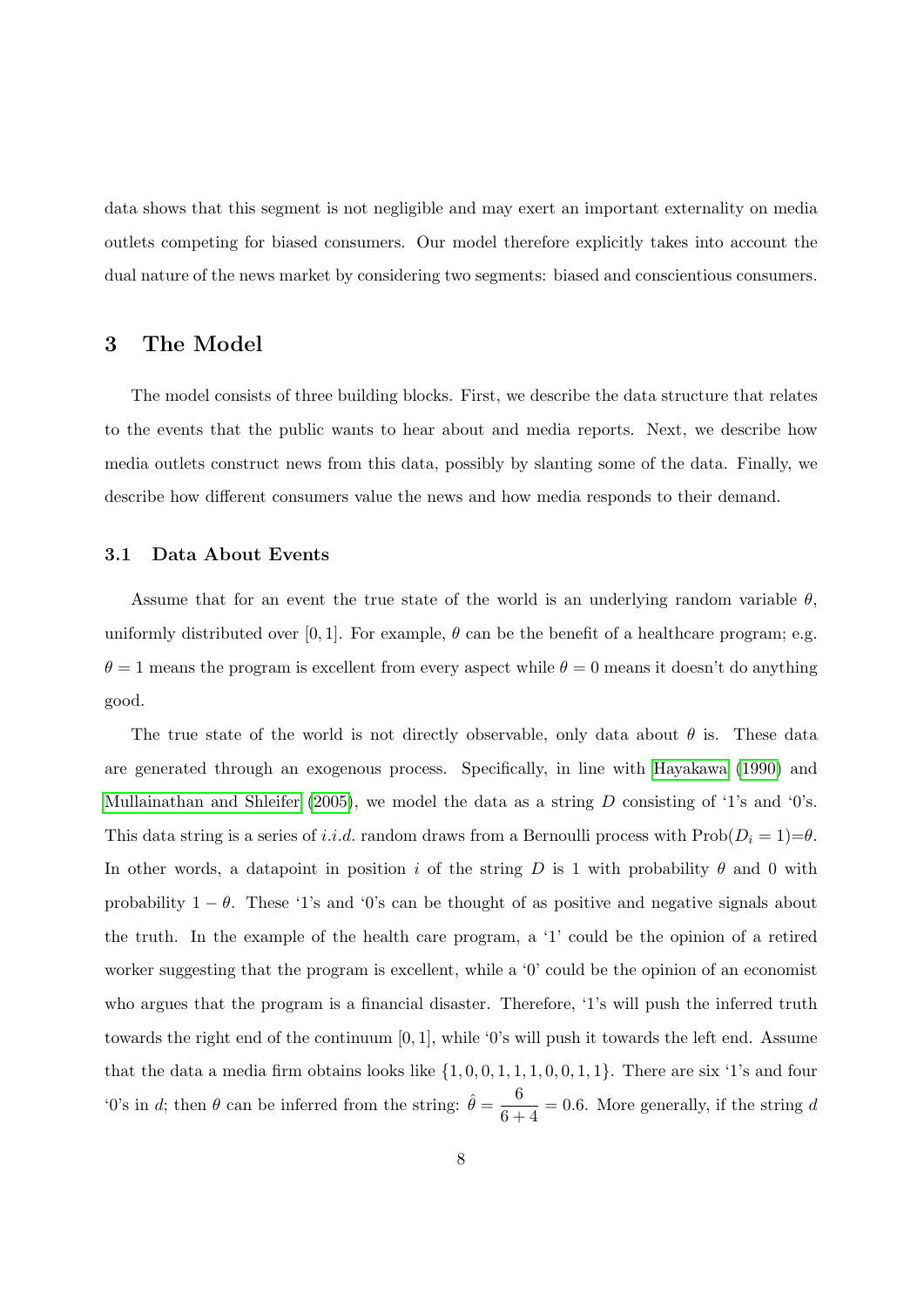data shows that this segment is not negligible and may exert an important externality on media outlets competing for biased consumers. Our model therefore explicitly takes into account the dual nature of the news market by considering two segments: biased and conscientious consumers.

## 3 The Model

The model consists of three building blocks. First, we describe the data structure that relates to the events that the public wants to hear about and media reports. Next, we describe how media outlets construct news from this data, possibly by slanting some of the data. Finally, we describe how different consumers value the news and how media responds to their demand.

#### 3.1 Data About Events

Assume that for an event the true state of the world is an underlying random variable  $\theta$ , uniformly distributed over [0, 1]. For example,  $\theta$  can be the benefit of a healthcare program; e.g.  $\theta = 1$  means the program is excellent from every aspect while  $\theta = 0$  means it doesn't do anything good.

The true state of the world is not directly observable, only data about  $\theta$  is. These data are generated through an exogenous process. Specifically, in line with [Hayakawa](#page-32-2) [\(1990\)](#page-32-2) and [Mullainathan and Shleifer](#page-32-1) [\(2005\)](#page-32-1), we model the data as a string  $D$  consisting of '1's and '0's. This data string is a series of i.i.d. random draws from a Bernoulli process with  $Prob(D_i = 1) = \theta$ . In other words, a datapoint in position i of the string D is 1 with probability  $\theta$  and 0 with probability  $1 - \theta$ . These '1's and '0's can be thought of as positive and negative signals about the truth. In the example of the health care program, a '1' could be the opinion of a retired worker suggesting that the program is excellent, while a '0' could be the opinion of an economist who argues that the program is a financial disaster. Therefore, '1's will push the inferred truth towards the right end of the continuum [0, 1], while '0's will push it towards the left end. Assume that the data a media firm obtains looks like  $\{1, 0, 0, 1, 1, 1, 0, 0, 1, 1\}$ . There are six '1's and four '0's in d; then  $\theta$  can be inferred from the string:  $\hat{\theta} = \frac{6}{c_0}$  $\frac{6}{6+4}$  = 0.6. More generally, if the string d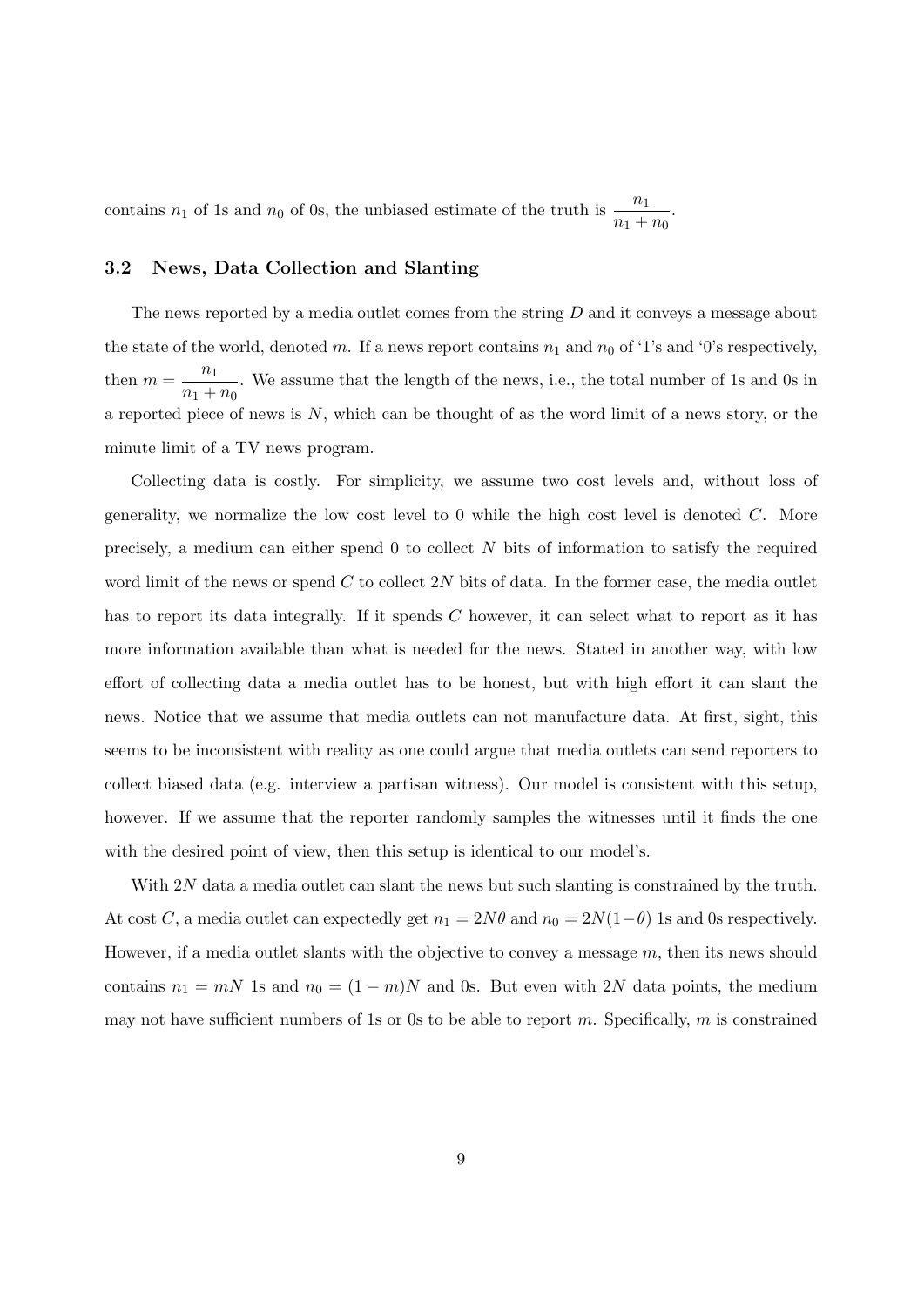contains  $n_1$  of 1s and  $n_0$  of 0s, the unbiased estimate of the truth is  $\frac{n_1}{n_1 + n_0}$ .

## 3.2 News, Data Collection and Slanting

The news reported by a media outlet comes from the string  $D$  and it conveys a message about the state of the world, denoted m. If a news report contains  $n_1$  and  $n_0$  of '1's and '0's respectively, then  $m = \frac{n_1}{n_2}$  $\frac{n_1}{n_1 + n_0}$ . We assume that the length of the news, i.e., the total number of 1s and 0s in a reported piece of news is  $N$ , which can be thought of as the word limit of a news story, or the minute limit of a TV news program.

Collecting data is costly. For simplicity, we assume two cost levels and, without loss of generality, we normalize the low cost level to 0 while the high cost level is denoted C. More precisely, a medium can either spend 0 to collect  $N$  bits of information to satisfy the required word limit of the news or spend  $C$  to collect  $2N$  bits of data. In the former case, the media outlet has to report its data integrally. If it spends  $C$  however, it can select what to report as it has more information available than what is needed for the news. Stated in another way, with low effort of collecting data a media outlet has to be honest, but with high effort it can slant the news. Notice that we assume that media outlets can not manufacture data. At first, sight, this seems to be inconsistent with reality as one could argue that media outlets can send reporters to collect biased data (e.g. interview a partisan witness). Our model is consistent with this setup, however. If we assume that the reporter randomly samples the witnesses until it finds the one with the desired point of view, then this setup is identical to our model's.

With 2N data a media outlet can slant the news but such slanting is constrained by the truth. At cost C, a media outlet can expectedly get  $n_1 = 2N\theta$  and  $n_0 = 2N(1-\theta)$  1s and 0s respectively. However, if a media outlet slants with the objective to convey a message  $m$ , then its news should contains  $n_1 = mN$  1s and  $n_0 = (1 - m)N$  and 0s. But even with 2N data points, the medium may not have sufficient numbers of 1s or 0s to be able to report  $m$ . Specifically,  $m$  is constrained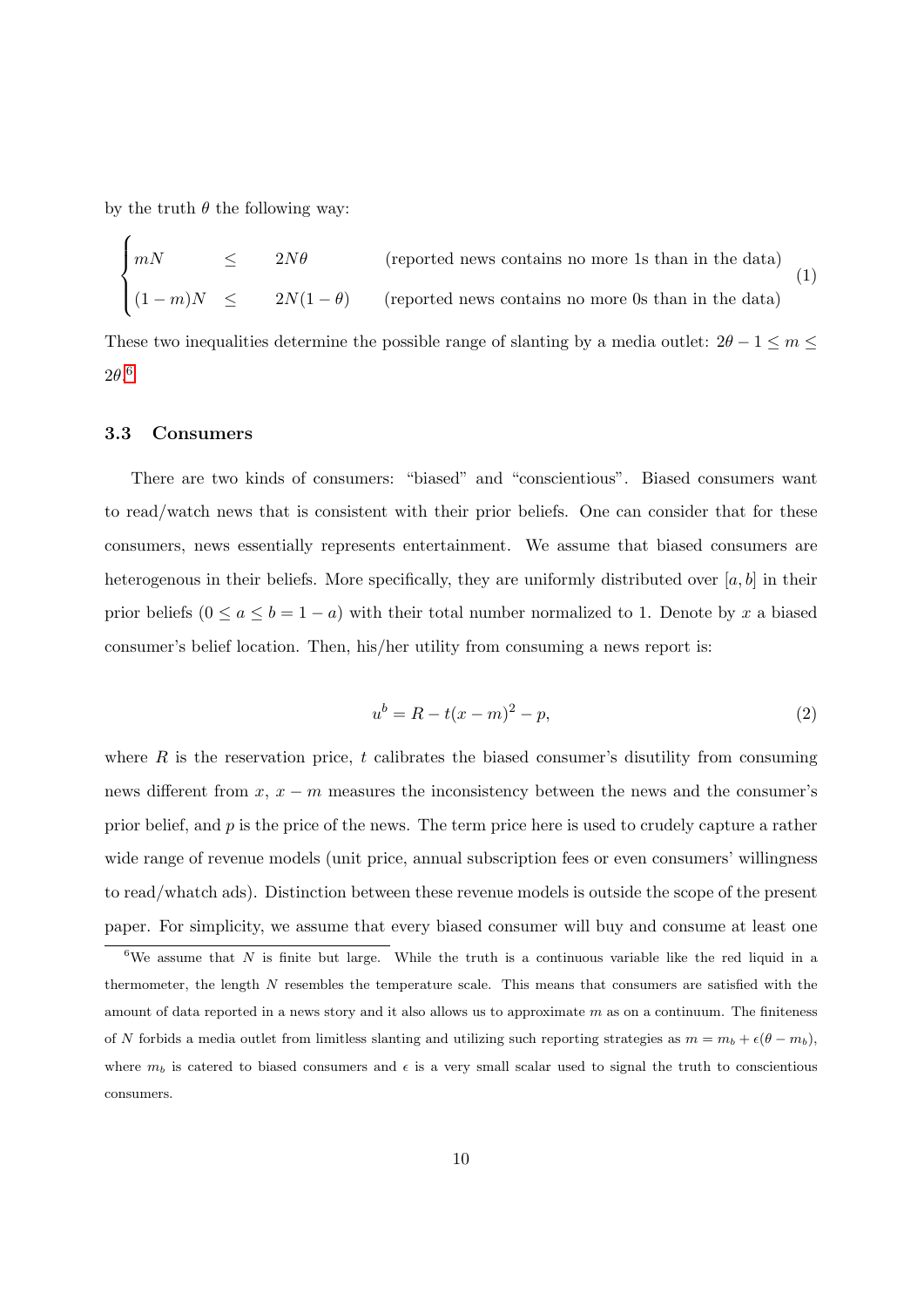by the truth  $\theta$  the following way:

 $\sqrt{ }$  $\int$  $\overline{\mathcal{L}}$  $mN \leq 2N\theta$  (reported news contains no more 1s than in the data)  $(1-m)N \leq 2N(1-\theta)$  (reported news contains no more 0s than in the data) (1)

These two inequalities determine the possible range of slanting by a media outlet:  $2\theta - 1 \le m \le$  $2\theta$ <sup>[6](#page-12-0)</sup>

### 3.3 Consumers

There are two kinds of consumers: "biased" and "conscientious". Biased consumers want to read/watch news that is consistent with their prior beliefs. One can consider that for these consumers, news essentially represents entertainment. We assume that biased consumers are heterogenous in their beliefs. More specifically, they are uniformly distributed over  $[a, b]$  in their prior beliefs  $(0 \le a \le b = 1 - a)$  with their total number normalized to 1. Denote by x a biased consumer's belief location. Then, his/her utility from consuming a news report is:

$$
u^b = R - t(x - m)^2 - p,
$$
\n(2)

where  $R$  is the reservation price,  $t$  calibrates the biased consumer's disutility from consuming news different from  $x, x - m$  measures the inconsistency between the news and the consumer's prior belief, and p is the price of the news. The term price here is used to crudely capture a rather wide range of revenue models (unit price, annual subscription fees or even consumers' willingness to read/whatch ads). Distinction between these revenue models is outside the scope of the present paper. For simplicity, we assume that every biased consumer will buy and consume at least one

<span id="page-12-0"></span> $\overline{6}$ We assume that N is finite but large. While the truth is a continuous variable like the red liquid in a thermometer, the length N resembles the temperature scale. This means that consumers are satisfied with the amount of data reported in a news story and it also allows us to approximate  $m$  as on a continuum. The finiteness of N forbids a media outlet from limitless slanting and utilizing such reporting strategies as  $m = m_b + \epsilon(\theta - m_b)$ , where  $m_b$  is catered to biased consumers and  $\epsilon$  is a very small scalar used to signal the truth to conscientious consumers.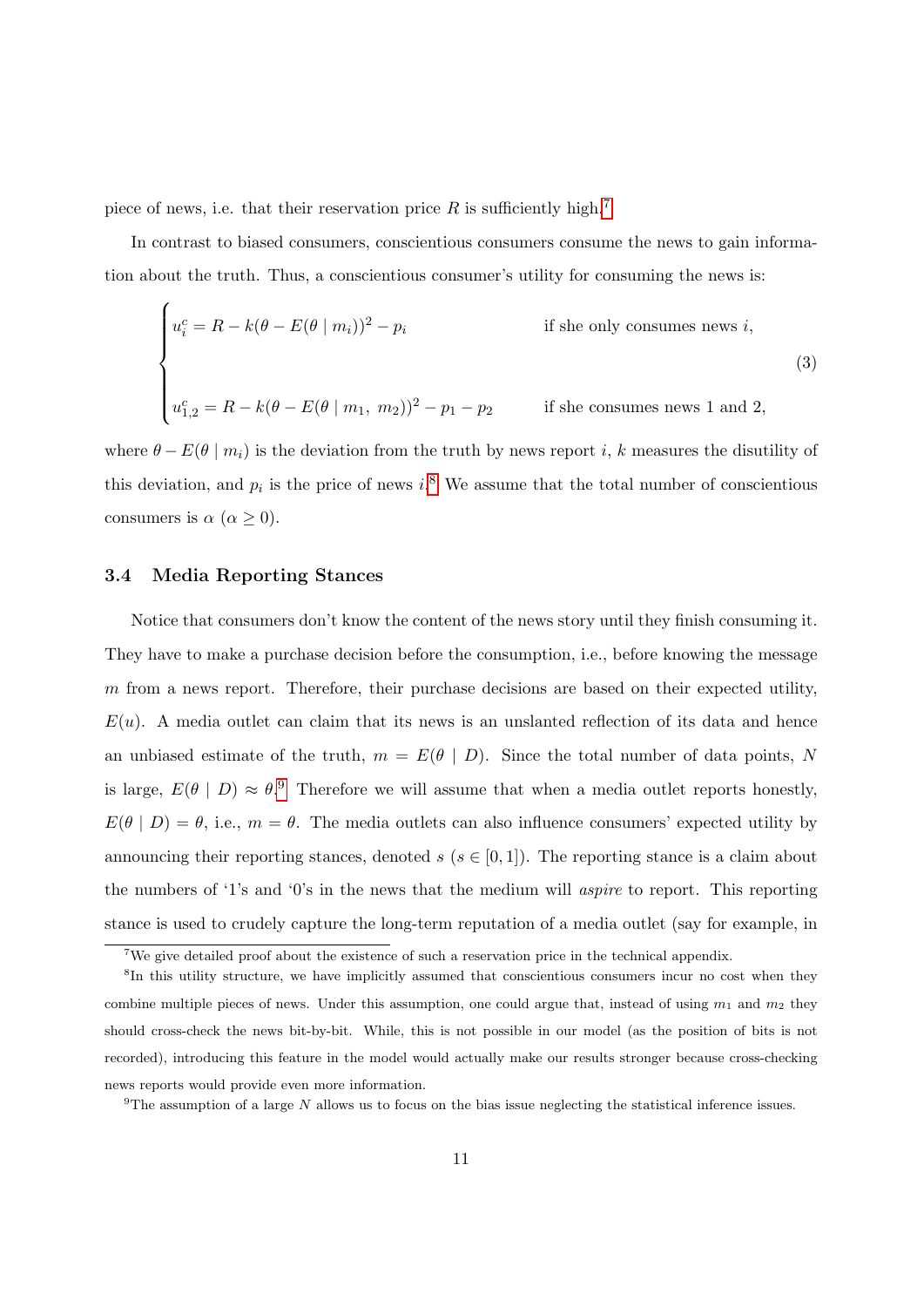piece of news, i.e. that their reservation price R is sufficiently high.<sup>[7](#page-13-0)</sup>

In contrast to biased consumers, conscientious consumers consume the news to gain information about the truth. Thus, a conscientious consumer's utility for consuming the news is:

$$
\begin{cases}\nu_i^c = R - k(\theta - E(\theta \mid m_i))^2 - p_i & \text{if she only consumes news } i, \\
u_{1,2}^c = R - k(\theta - E(\theta \mid m_1, m_2))^2 - p_1 - p_2 & \text{if she consumes news 1 and 2,} \\
\end{cases}
$$
\n(3)

where  $\theta - E(\theta | m_i)$  is the deviation from the truth by news report *i*, k measures the disutility of this deviation, and  $p_i$  is the price of news i.<sup>[8](#page-13-1)</sup> We assume that the total number of conscientious consumers is  $\alpha$  ( $\alpha \geq 0$ ).

#### 3.4 Media Reporting Stances

Notice that consumers don't know the content of the news story until they finish consuming it. They have to make a purchase decision before the consumption, i.e., before knowing the message  $m$  from a news report. Therefore, their purchase decisions are based on their expected utility,  $E(u)$ . A media outlet can claim that its news is an unslanted reflection of its data and hence an unbiased estimate of the truth,  $m = E(\theta | D)$ . Since the total number of data points, N is large,  $E(\theta | D) \approx \theta$ . Therefore we will assume that when a media outlet reports honestly,  $E(\theta | D) = \theta$ , i.e.,  $m = \theta$ . The media outlets can also influence consumers' expected utility by announcing their reporting stances, denoted s ( $s \in [0,1]$ ). The reporting stance is a claim about the numbers of '1's and '0's in the news that the medium will aspire to report. This reporting stance is used to crudely capture the long-term reputation of a media outlet (say for example, in

<span id="page-13-1"></span><span id="page-13-0"></span><sup>&</sup>lt;sup>7</sup>We give detailed proof about the existence of such a reservation price in the technical appendix.

<sup>&</sup>lt;sup>8</sup>In this utility structure, we have implicitly assumed that conscientious consumers incur no cost when they combine multiple pieces of news. Under this assumption, one could argue that, instead of using  $m_1$  and  $m_2$  they should cross-check the news bit-by-bit. While, this is not possible in our model (as the position of bits is not recorded), introducing this feature in the model would actually make our results stronger because cross-checking news reports would provide even more information.

<span id="page-13-2"></span> $9$ The assumption of a large N allows us to focus on the bias issue neglecting the statistical inference issues.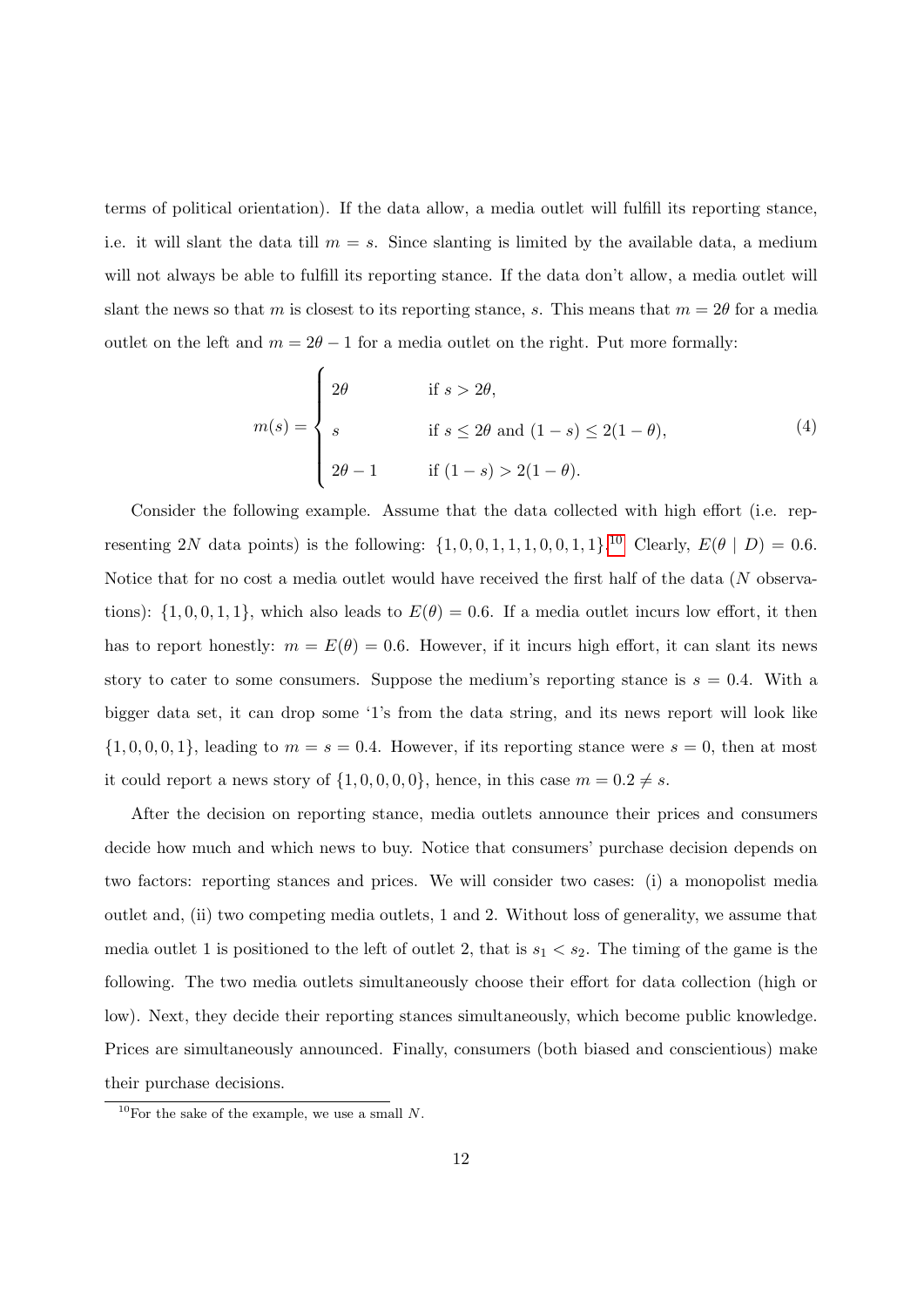terms of political orientation). If the data allow, a media outlet will fulfill its reporting stance, i.e. it will slant the data till  $m = s$ . Since slanting is limited by the available data, a medium will not always be able to fulfill its reporting stance. If the data don't allow, a media outlet will slant the news so that m is closest to its reporting stance, s. This means that  $m = 2\theta$  for a media outlet on the left and  $m = 2\theta - 1$  for a media outlet on the right. Put more formally:

<span id="page-14-1"></span>
$$
m(s) = \begin{cases} 2\theta & \text{if } s > 2\theta, \\ s & \text{if } s \le 2\theta \text{ and } (1-s) \le 2(1-\theta), \\ 2\theta - 1 & \text{if } (1-s) > 2(1-\theta). \end{cases}
$$
(4)

Consider the following example. Assume that the data collected with high effort (i.e. representing 2N data points) is the following:  $\{1,0,0,1,1,1,0,0,1,1\}$ .<sup>[10](#page-14-0)</sup> Clearly,  $E(\theta | D) = 0.6$ . Notice that for no cost a media outlet would have received the first half of the data (N observations):  $\{1, 0, 0, 1, 1\}$ , which also leads to  $E(\theta) = 0.6$ . If a media outlet incurs low effort, it then has to report honestly:  $m = E(\theta) = 0.6$ . However, if it incurs high effort, it can slant its news story to cater to some consumers. Suppose the medium's reporting stance is  $s = 0.4$ . With a bigger data set, it can drop some '1's from the data string, and its news report will look like  $\{1, 0, 0, 0, 1\}$ , leading to  $m = s = 0.4$ . However, if its reporting stance were  $s = 0$ , then at most it could report a news story of  $\{1, 0, 0, 0, 0\}$ , hence, in this case  $m = 0.2 \neq s$ .

After the decision on reporting stance, media outlets announce their prices and consumers decide how much and which news to buy. Notice that consumers' purchase decision depends on two factors: reporting stances and prices. We will consider two cases: (i) a monopolist media outlet and, (ii) two competing media outlets, 1 and 2. Without loss of generality, we assume that media outlet 1 is positioned to the left of outlet 2, that is  $s_1 < s_2$ . The timing of the game is the following. The two media outlets simultaneously choose their effort for data collection (high or low). Next, they decide their reporting stances simultaneously, which become public knowledge. Prices are simultaneously announced. Finally, consumers (both biased and conscientious) make their purchase decisions.

<span id="page-14-0"></span><sup>&</sup>lt;sup>10</sup>For the sake of the example, we use a small  $N$ .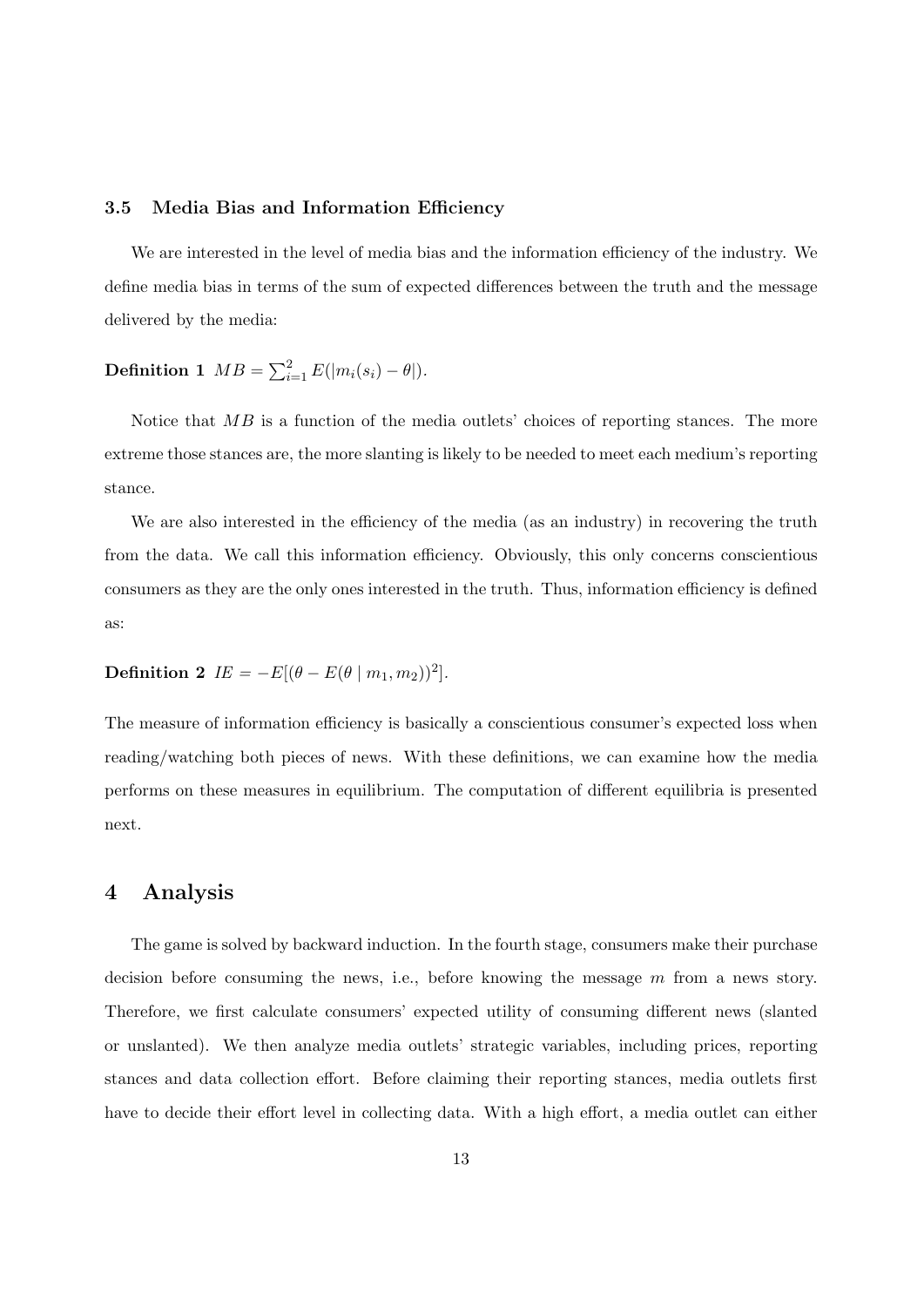#### 3.5 Media Bias and Information Efficiency

We are interested in the level of media bias and the information efficiency of the industry. We define media bias in terms of the sum of expected differences between the truth and the message delivered by the media:

## **Definition 1**  $MB = \sum_{i=1}^{2} E(|m_i(s_i) - \theta|)$ .

Notice that  $MB$  is a function of the media outlets' choices of reporting stances. The more extreme those stances are, the more slanting is likely to be needed to meet each medium's reporting stance.

We are also interested in the efficiency of the media (as an industry) in recovering the truth from the data. We call this information efficiency. Obviously, this only concerns conscientious consumers as they are the only ones interested in the truth. Thus, information efficiency is defined as:

## **Definition 2**  $IE = -E[(\theta - E(\theta | m_1, m_2))^2]$ .

The measure of information efficiency is basically a conscientious consumer's expected loss when reading/watching both pieces of news. With these definitions, we can examine how the media performs on these measures in equilibrium. The computation of different equilibria is presented next.

## 4 Analysis

The game is solved by backward induction. In the fourth stage, consumers make their purchase decision before consuming the news, i.e., before knowing the message m from a news story. Therefore, we first calculate consumers' expected utility of consuming different news (slanted or unslanted). We then analyze media outlets' strategic variables, including prices, reporting stances and data collection effort. Before claiming their reporting stances, media outlets first have to decide their effort level in collecting data. With a high effort, a media outlet can either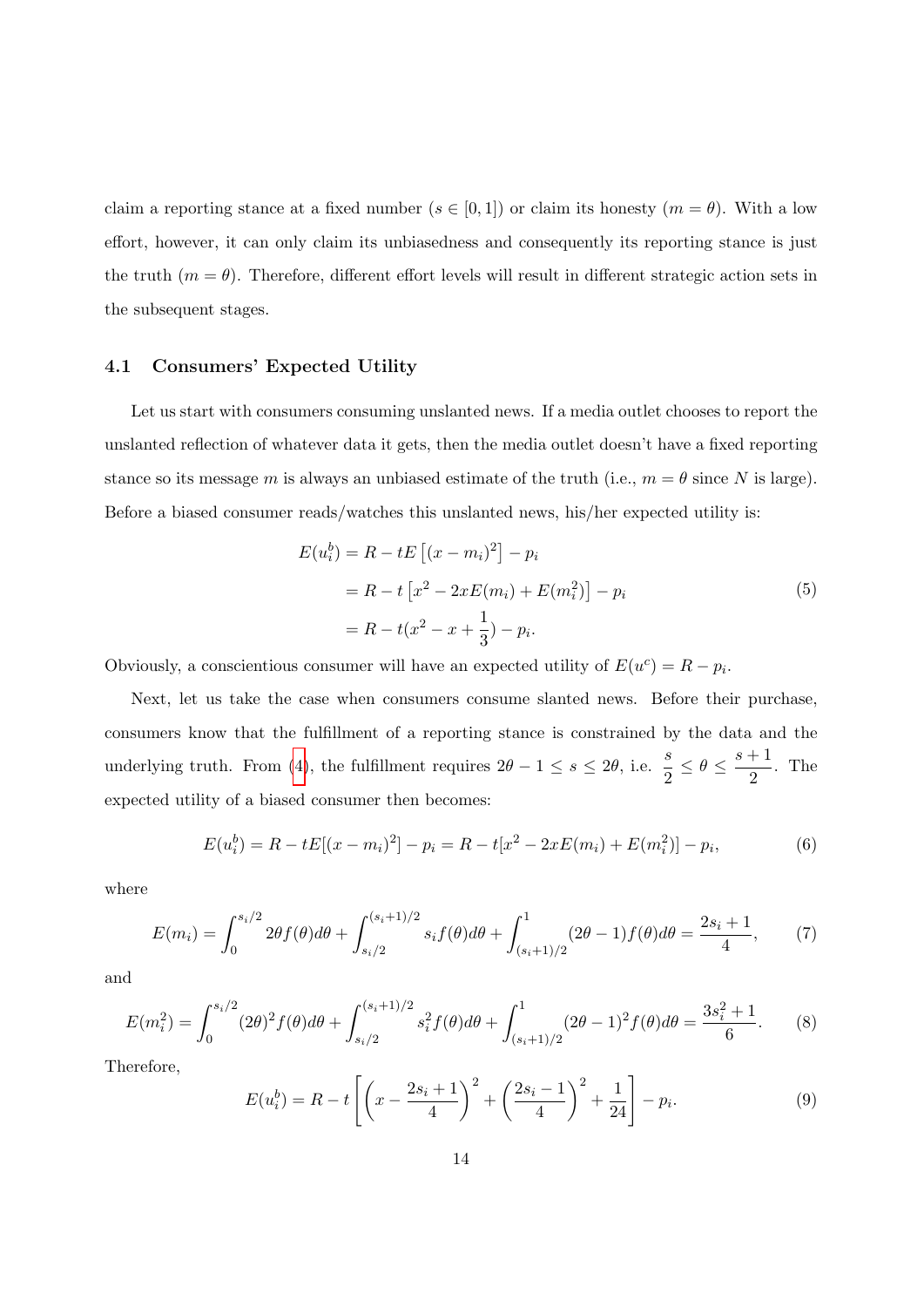claim a reporting stance at a fixed number  $(s \in [0,1])$  or claim its honesty  $(m = \theta)$ . With a low effort, however, it can only claim its unbiasedness and consequently its reporting stance is just the truth  $(m = \theta)$ . Therefore, different effort levels will result in different strategic action sets in the subsequent stages.

## 4.1 Consumers' Expected Utility

Let us start with consumers consuming unslanted news. If a media outlet chooses to report the unslanted reflection of whatever data it gets, then the media outlet doesn't have a fixed reporting stance so its message m is always an unbiased estimate of the truth (i.e.,  $m = \theta$  since N is large). Before a biased consumer reads/watches this unslanted news, his/her expected utility is:

$$
E(u_i^b) = R - tE [(x - m_i)^2] - p_i
$$
  
= R - t [x<sup>2</sup> - 2xE(m<sub>i</sub>) + E(m<sub>i</sub><sup>2</sup>)] - p<sub>i</sub>  
= R - t(x<sup>2</sup> - x +  $\frac{1}{3}$ ) - p<sub>i</sub>. (5)

Obviously, a conscientious consumer will have an expected utility of  $E(u^c) = R - p_i$ .

Next, let us take the case when consumers consume slanted news. Before their purchase, consumers know that the fulfillment of a reporting stance is constrained by the data and the underlying truth. From [\(4\)](#page-14-1), the fulfillment requires  $2\theta - 1 \leq s \leq 2\theta$ , i.e.  $\frac{s}{\alpha}$  $\frac{s}{2} \leq \theta \leq \frac{s+1}{2}$  $\frac{1}{2}$ . The expected utility of a biased consumer then becomes:

$$
E(u_i^b) = R - tE[(x - m_i)^2] - p_i = R - t[x^2 - 2xE(m_i) + E(m_i^2)] - p_i,
$$
\n(6)

where

$$
E(m_i) = \int_0^{s_i/2} 2\theta f(\theta) d\theta + \int_{s_i/2}^{(s_i+1)/2} s_i f(\theta) d\theta + \int_{(s_i+1)/2}^1 (2\theta - 1) f(\theta) d\theta = \frac{2s_i+1}{4},\tag{7}
$$

and

$$
E(m_i^2) = \int_0^{s_i/2} (2\theta)^2 f(\theta) d\theta + \int_{s_i/2}^{(s_i+1)/2} s_i^2 f(\theta) d\theta + \int_{(s_i+1)/2}^1 (2\theta - 1)^2 f(\theta) d\theta = \frac{3s_i^2 + 1}{6}.
$$
 (8)

Therefore,

$$
E(u_i^b) = R - t \left[ \left( x - \frac{2s_i + 1}{4} \right)^2 + \left( \frac{2s_i - 1}{4} \right)^2 + \frac{1}{24} \right] - p_i.
$$
 (9)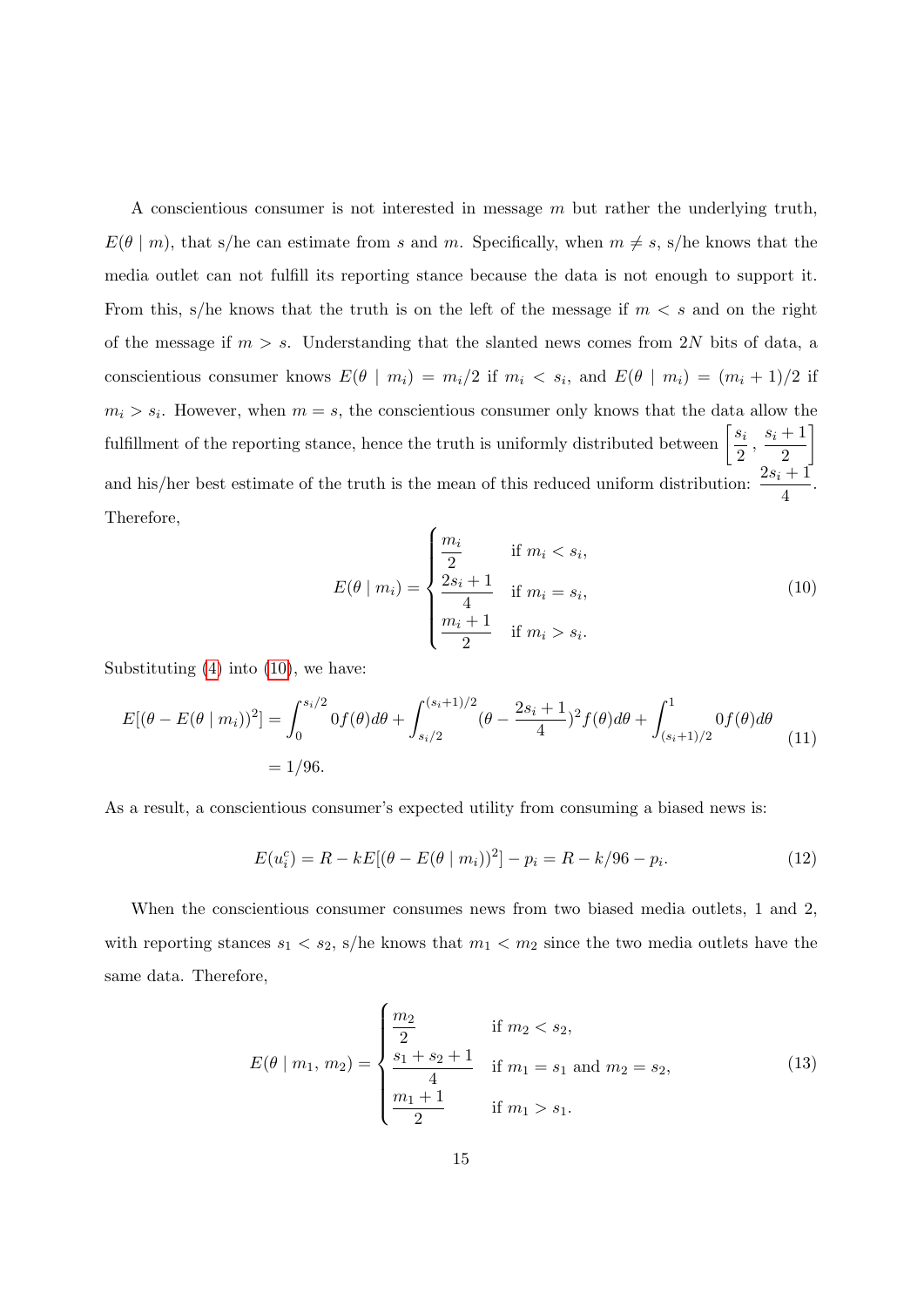A conscientious consumer is not interested in message m but rather the underlying truth,  $E(\theta | m)$ , that s/he can estimate from s and m. Specifically, when  $m \neq s$ , s/he knows that the media outlet can not fulfill its reporting stance because the data is not enough to support it. From this, s/he knows that the truth is on the left of the message if  $m < s$  and on the right of the message if  $m > s$ . Understanding that the slanted news comes from 2N bits of data, a conscientious consumer knows  $E(\theta | m_i) = m_i/2$  if  $m_i < s_i$ , and  $E(\theta | m_i) = (m_i + 1)/2$  if  $m_i > s_i$ . However, when  $m = s$ , the conscientious consumer only knows that the data allow the fulfillment of the reporting stance, hence the truth is uniformly distributed between  $\left[\frac{s_i}{2}\right]$  $\frac{s_i}{2}, \frac{s_i+1}{2}$ 2 1 and his/her best estimate of the truth is the mean of this reduced uniform distribution:  $\frac{2s_i+1}{4}$ . Therefore,

<span id="page-17-0"></span>
$$
E(\theta \mid m_i) = \begin{cases} \frac{m_i}{2} & \text{if } m_i < s_i, \\ \frac{2s_i + 1}{4} & \text{if } m_i = s_i, \\ \frac{m_i + 1}{2} & \text{if } m_i > s_i. \end{cases} \tag{10}
$$

Substituting  $(4)$  into  $(10)$ , we have:

$$
E[(\theta - E(\theta \mid m_i))^2] = \int_0^{s_i/2} 0 f(\theta) d\theta + \int_{s_i/2}^{(s_i+1)/2} (\theta - \frac{2s_i+1}{4})^2 f(\theta) d\theta + \int_{(s_i+1)/2}^1 0 f(\theta) d\theta
$$
  
= 1/96. (11)

As a result, a conscientious consumer's expected utility from consuming a biased news is:

$$
E(u_i^c) = R - kE[(\theta - E(\theta \mid m_i))^2] - p_i = R - k/96 - p_i.
$$
\n(12)

When the conscientious consumer consumes news from two biased media outlets, 1 and 2, with reporting stances  $s_1 < s_2$ , s/he knows that  $m_1 < m_2$  since the two media outlets have the same data. Therefore,

$$
E(\theta \mid m_1, m_2) = \begin{cases} \frac{m_2}{2} & \text{if } m_2 < s_2, \\ \frac{s_1 + s_2 + 1}{4} & \text{if } m_1 = s_1 \text{ and } m_2 = s_2, \\ \frac{m_1 + 1}{2} & \text{if } m_1 > s_1. \end{cases}
$$
(13)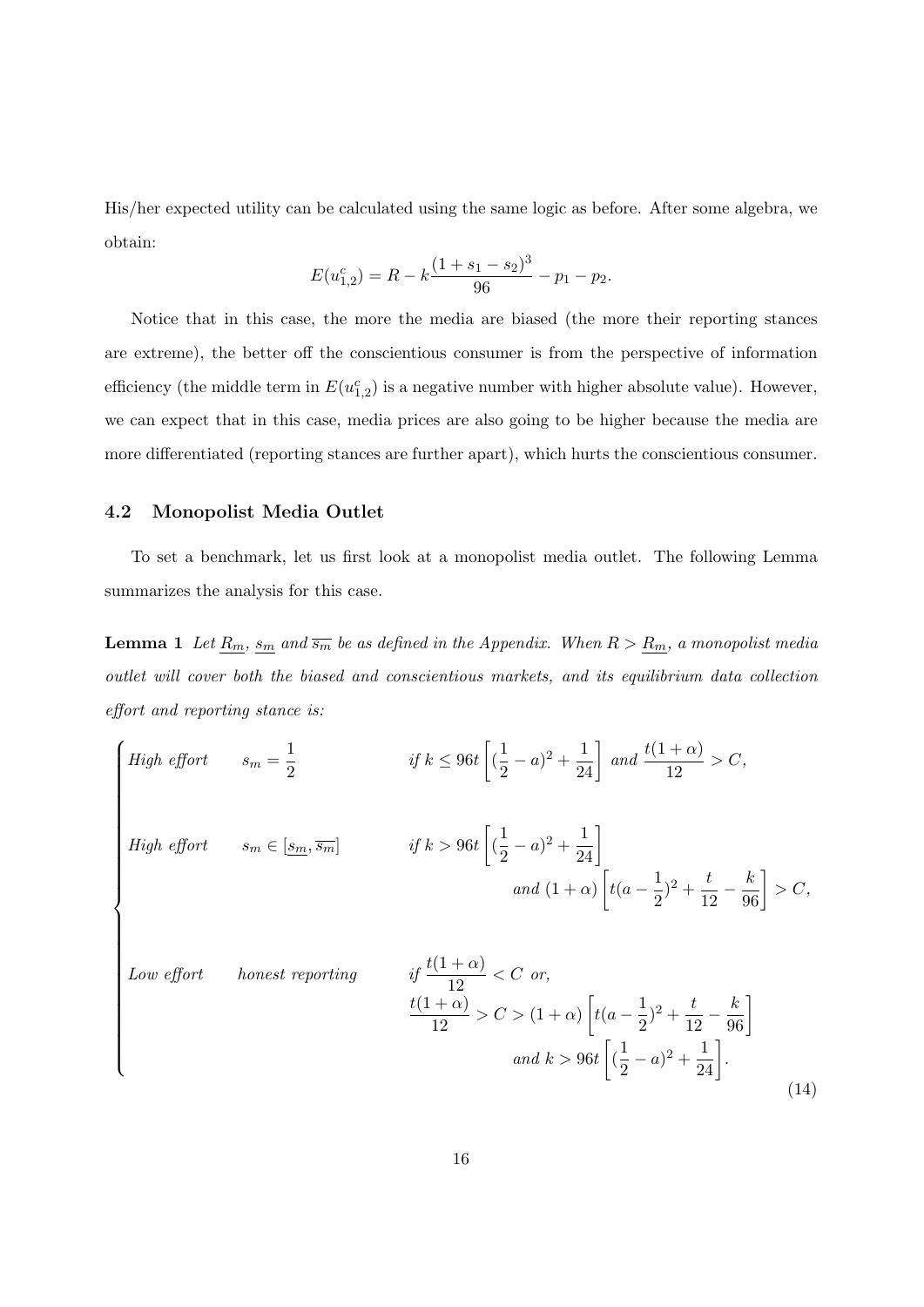His/her expected utility can be calculated using the same logic as before. After some algebra, we obtain:

$$
E(u_{1,2}^c) = R - k \frac{(1 + s_1 - s_2)^3}{96} - p_1 - p_2.
$$

Notice that in this case, the more the media are biased (the more their reporting stances are extreme), the better off the conscientious consumer is from the perspective of information efficiency (the middle term in  $E(u_{1,2}^c)$  is a negative number with higher absolute value). However, we can expect that in this case, media prices are also going to be higher because the media are more differentiated (reporting stances are further apart), which hurts the conscientious consumer.

#### 4.2 Monopolist Media Outlet

To set a benchmark, let us first look at a monopolist media outlet. The following Lemma summarizes the analysis for this case.

<span id="page-18-0"></span>**Lemma 1** Let  $\underline{R_m}$ ,  $\underline{s_m}$  and  $\overline{s_m}$  be as defined in the Appendix. When  $R > \underline{R_m}$ , a monopolist media outlet will cover both the biased and conscientious markets, and its equilibrium data collection effort and reporting stance is:

$$
\begin{cases}\n\text{High effort} & s_m = \frac{1}{2} & \text{if } k \le 96t \left[ \left( \frac{1}{2} - a \right)^2 + \frac{1}{24} \right] \text{ and } \frac{t(1+\alpha)}{12} > C, \\
\text{High effort} & s_m \in \left[ \underline{s_m}, \overline{s_m} \right] & \text{if } k > 96t \left[ \left( \frac{1}{2} - a \right)^2 + \frac{1}{24} \right] \\
& \text{and } (1+\alpha) \left[ t(a - \frac{1}{2})^2 + \frac{t}{12} - \frac{k}{96} \right] > C,\n\end{cases}
$$

  $\label{eq:low} Low\,\,effort\qquad honest\,\,report$ 

$$
if \frac{t(1+\alpha)}{12} < C \text{ or,}
$$
\n
$$
\frac{t(1+\alpha)}{12} > C > (1+\alpha) \left[ t(a-\frac{1}{2})^2 + \frac{t}{12} - \frac{k}{96} \right]
$$
\n
$$
and \ k > 96t \left[ \left( \frac{1}{2} - a \right)^2 + \frac{1}{24} \right]. \tag{14}
$$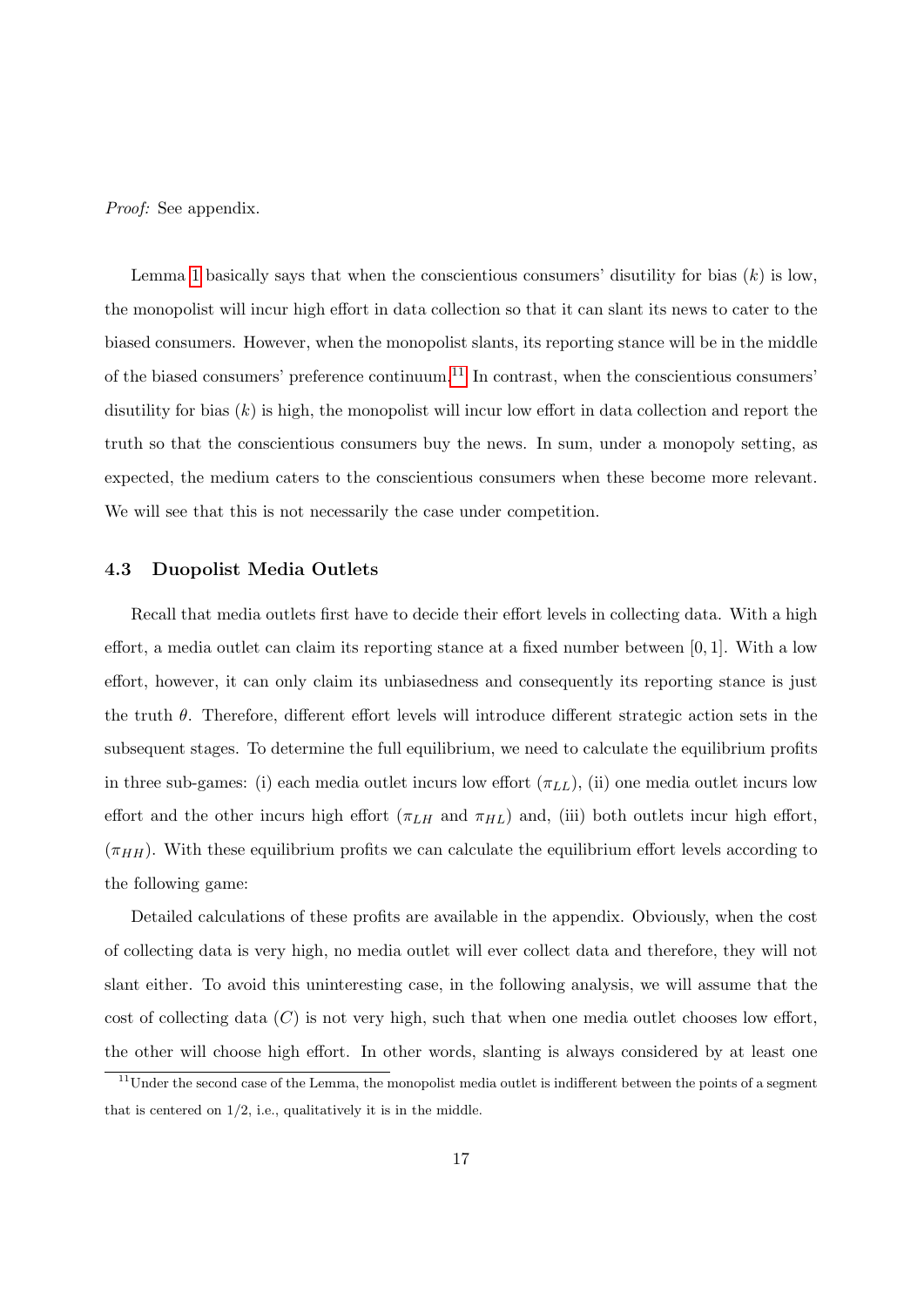Proof: See appendix.

Lemma [1](#page-18-0) basically says that when the conscientious consumers' disutility for bias  $(k)$  is low, the monopolist will incur high effort in data collection so that it can slant its news to cater to the biased consumers. However, when the monopolist slants, its reporting stance will be in the middle of the biased consumers' preference continuum.<sup>[11](#page-19-0)</sup> In contrast, when the conscientious consumers' disutility for bias  $(k)$  is high, the monopolist will incur low effort in data collection and report the truth so that the conscientious consumers buy the news. In sum, under a monopoly setting, as expected, the medium caters to the conscientious consumers when these become more relevant. We will see that this is not necessarily the case under competition.

#### 4.3 Duopolist Media Outlets

Recall that media outlets first have to decide their effort levels in collecting data. With a high effort, a media outlet can claim its reporting stance at a fixed number between  $[0, 1]$ . With a low effort, however, it can only claim its unbiasedness and consequently its reporting stance is just the truth  $\theta$ . Therefore, different effort levels will introduce different strategic action sets in the subsequent stages. To determine the full equilibrium, we need to calculate the equilibrium profits in three sub-games: (i) each media outlet incurs low effort  $(\pi_{LL})$ , (ii) one media outlet incurs low effort and the other incurs high effort  $(\pi_{LH}$  and  $\pi_{HL})$  and, (iii) both outlets incur high effort,  $(\pi_{HH})$ . With these equilibrium profits we can calculate the equilibrium effort levels according to the following game:

Detailed calculations of these profits are available in the appendix. Obviously, when the cost of collecting data is very high, no media outlet will ever collect data and therefore, they will not slant either. To avoid this uninteresting case, in the following analysis, we will assume that the cost of collecting data  $(C)$  is not very high, such that when one media outlet chooses low effort, the other will choose high effort. In other words, slanting is always considered by at least one

<span id="page-19-0"></span><sup>&</sup>lt;sup>11</sup>Under the second case of the Lemma, the monopolist media outlet is indifferent between the points of a segment that is centered on  $1/2$ , i.e., qualitatively it is in the middle.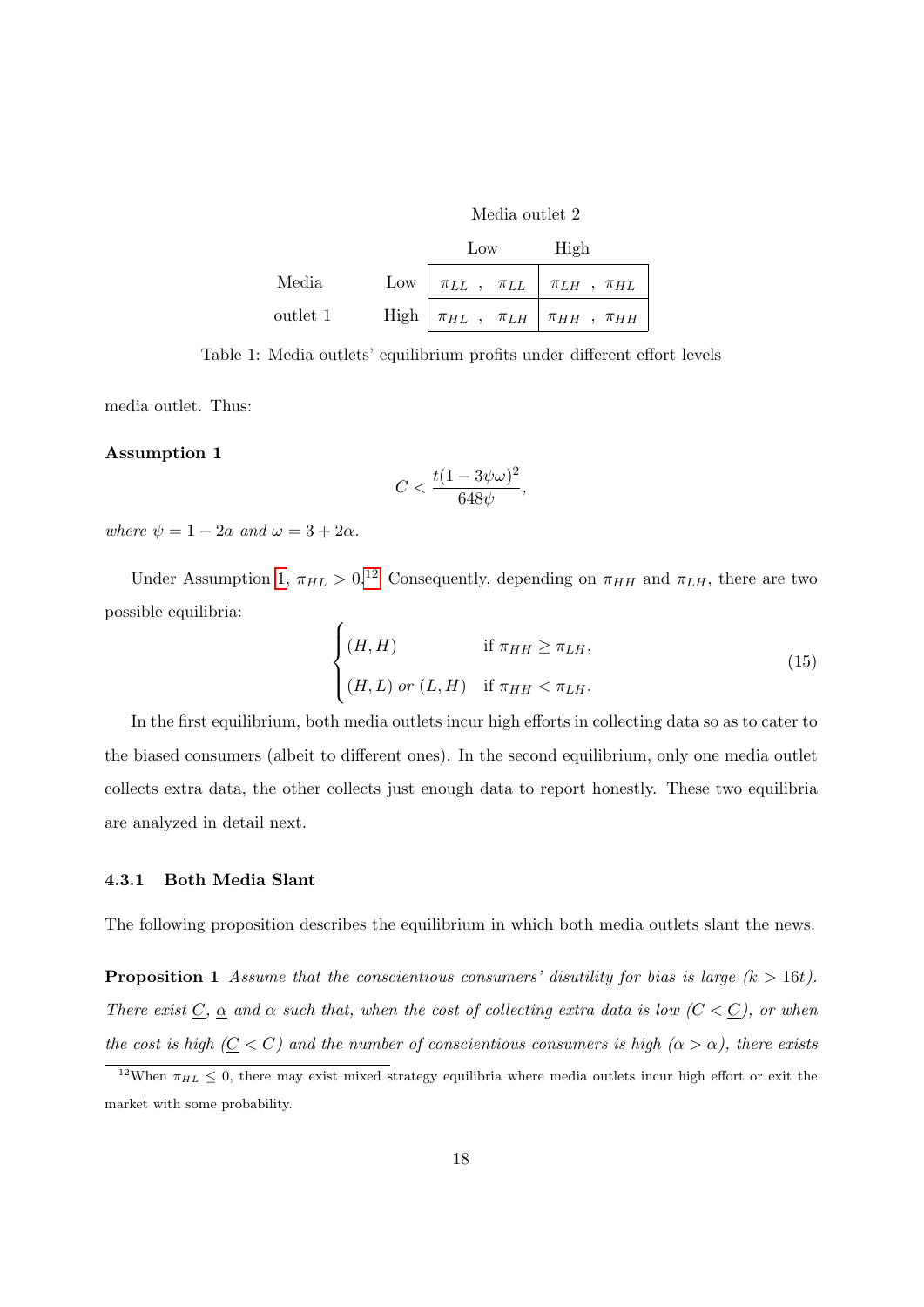Media outlet 2

|          | Low | High                                                         |
|----------|-----|--------------------------------------------------------------|
| Media    |     | Low $\pi_{LL}$ , $\pi_{LL}$ $\pi_{L}$ $\pi_{L}$ , $\pi_{HL}$ |
| outlet 1 |     | High $\pi_{HL}$ , $\pi_{LH}$ $\pi_{HH}$ , $\pi_{HH}$         |

<span id="page-20-3"></span><span id="page-20-0"></span>Table 1: Media outlets' equilibrium profits under different effort levels

media outlet. Thus:

#### Assumption 1

$$
C < \frac{t(1 - 3\psi\omega)^2}{648\psi},
$$

where  $\psi = 1 - 2a$  and  $\omega = 3 + 2\alpha$ .

Under Assumption [1,](#page-20-0)  $\pi_{HL} > 0.12$  $\pi_{HL} > 0.12$  Consequently, depending on  $\pi_{HH}$  and  $\pi_{LH}$ , there are two possible equilibria:  $\epsilon$ 

$$
\begin{cases}\n(H, H) & \text{if } \pi_{HH} \ge \pi_{LH}, \\
(H, L) \text{ or } (L, H) & \text{if } \pi_{HH} < \pi_{LH}.\n\end{cases}
$$
\n(15)

In the first equilibrium, both media outlets incur high efforts in collecting data so as to cater to the biased consumers (albeit to different ones). In the second equilibrium, only one media outlet collects extra data, the other collects just enough data to report honestly. These two equilibria are analyzed in detail next.

#### 4.3.1 Both Media Slant

<span id="page-20-2"></span>The following proposition describes the equilibrium in which both media outlets slant the news.

**Proposition 1** Assume that the conscientious consumers' disutility for bias is large  $(k > 16t)$ . There exist  $\underline{C}$ ,  $\underline{\alpha}$  and  $\overline{\alpha}$  such that, when the cost of collecting extra data is low  $(C < \underline{C})$ , or when the cost is high  $(C < C)$  and the number of conscientious consumers is high  $(\alpha > \overline{\alpha})$ , there exists

<span id="page-20-1"></span><sup>&</sup>lt;sup>12</sup>When  $\pi_{HL} \leq 0$ , there may exist mixed strategy equilibria where media outlets incur high effort or exit the market with some probability.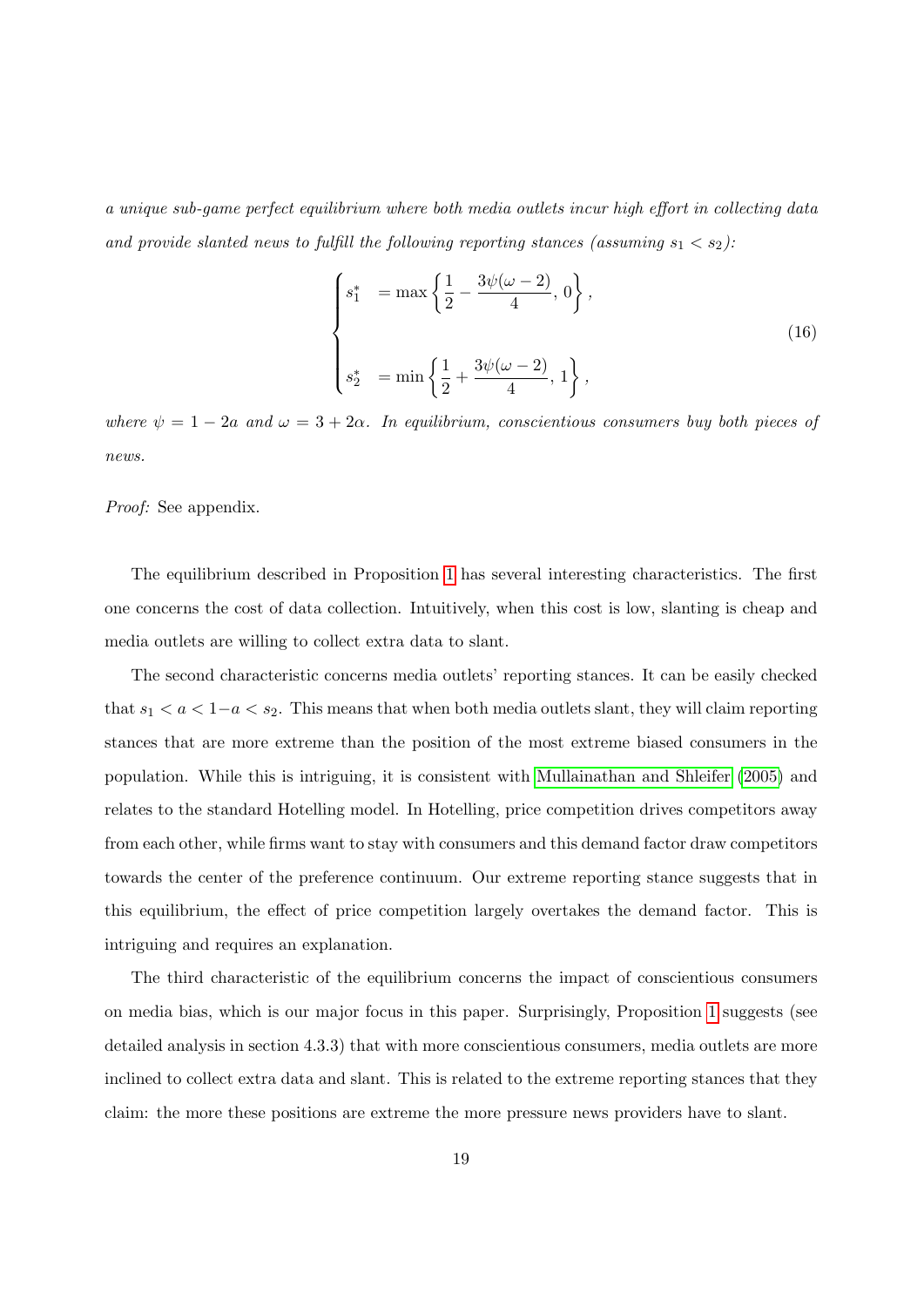a unique sub-game perfect equilibrium where both media outlets incur high effort in collecting data and provide slanted news to fulfill the following reporting stances (assuming  $s_1 < s_2$ ):

$$
\begin{cases}\ns_1^* = \max\left\{\frac{1}{2} - \frac{3\psi(\omega - 2)}{4}, 0\right\}, \\
s_2^* = \min\left\{\frac{1}{2} + \frac{3\psi(\omega - 2)}{4}, 1\right\},\n\end{cases} \tag{16}
$$

where  $\psi = 1 - 2a$  and  $\omega = 3 + 2\alpha$ . In equilibrium, conscientious consumers buy both pieces of news.

Proof: See appendix.

The equilibrium described in Proposition [1](#page-20-2) has several interesting characteristics. The first one concerns the cost of data collection. Intuitively, when this cost is low, slanting is cheap and media outlets are willing to collect extra data to slant.

The second characteristic concerns media outlets' reporting stances. It can be easily checked that  $s_1 < a < 1-a < s_2$ . This means that when both media outlets slant, they will claim reporting stances that are more extreme than the position of the most extreme biased consumers in the population. While this is intriguing, it is consistent with [Mullainathan and Shleifer](#page-32-1) [\(2005\)](#page-32-1) and relates to the standard Hotelling model. In Hotelling, price competition drives competitors away from each other, while firms want to stay with consumers and this demand factor draw competitors towards the center of the preference continuum. Our extreme reporting stance suggests that in this equilibrium, the effect of price competition largely overtakes the demand factor. This is intriguing and requires an explanation.

The third characteristic of the equilibrium concerns the impact of conscientious consumers on media bias, which is our major focus in this paper. Surprisingly, Proposition [1](#page-20-2) suggests (see detailed analysis in section 4.3.3) that with more conscientious consumers, media outlets are more inclined to collect extra data and slant. This is related to the extreme reporting stances that they claim: the more these positions are extreme the more pressure news providers have to slant.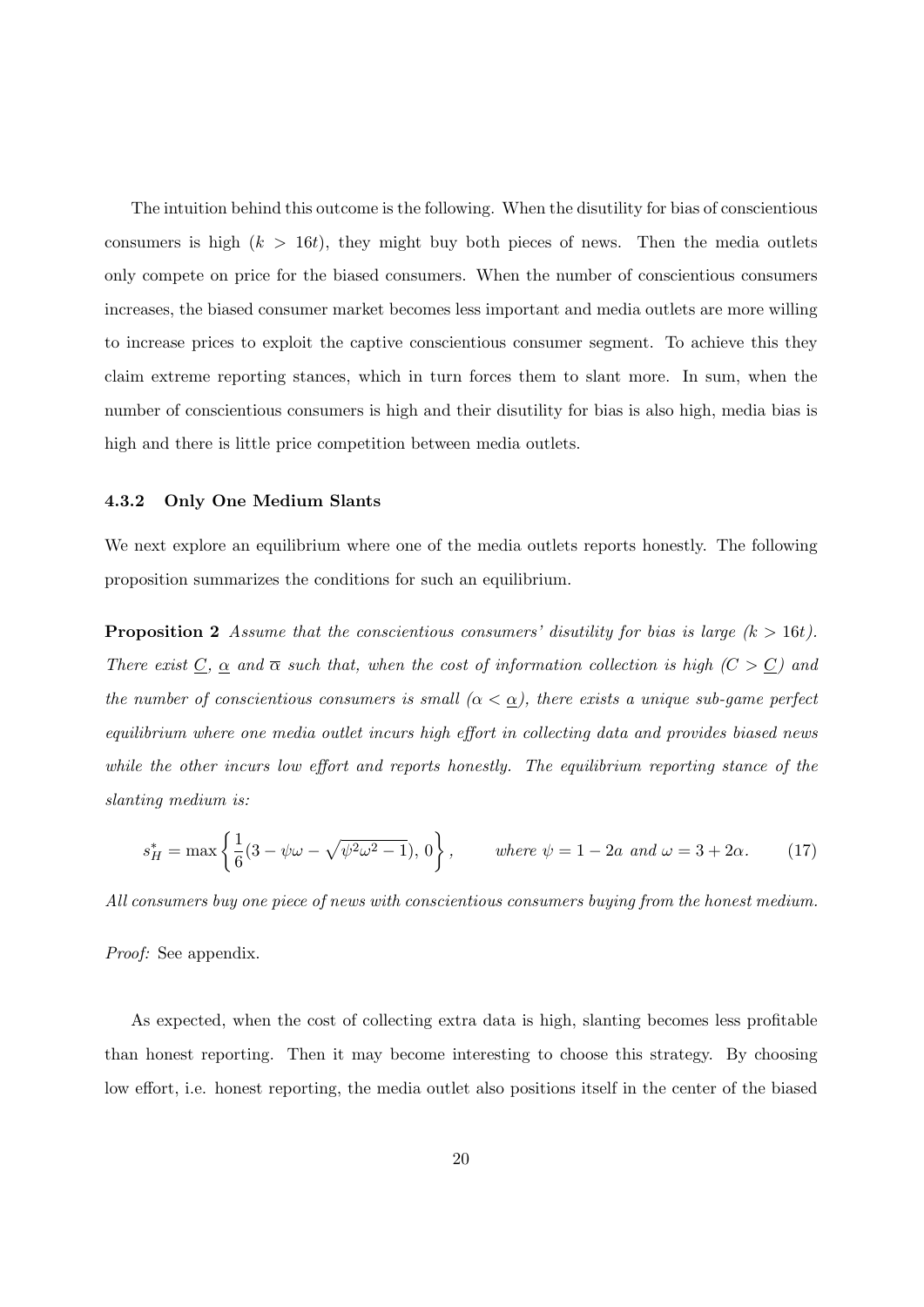The intuition behind this outcome is the following. When the disutility for bias of conscientious consumers is high  $(k > 16t)$ , they might buy both pieces of news. Then the media outlets only compete on price for the biased consumers. When the number of conscientious consumers increases, the biased consumer market becomes less important and media outlets are more willing to increase prices to exploit the captive conscientious consumer segment. To achieve this they claim extreme reporting stances, which in turn forces them to slant more. In sum, when the number of conscientious consumers is high and their disutility for bias is also high, media bias is high and there is little price competition between media outlets.

#### 4.3.2 Only One Medium Slants

We next explore an equilibrium where one of the media outlets reports honestly. The following proposition summarizes the conditions for such an equilibrium.

<span id="page-22-0"></span>**Proposition 2** Assume that the conscientious consumers' disutility for bias is large  $(k > 16t)$ . There exist  $\underline{C}$ ,  $\underline{\alpha}$  and  $\overline{\alpha}$  such that, when the cost of information collection is high  $(C > \underline{C})$  and the number of conscientious consumers is small  $(\alpha < \underline{\alpha})$ , there exists a unique sub-game perfect equilibrium where one media outlet incurs high effort in collecting data and provides biased news while the other incurs low effort and reports honestly. The equilibrium reporting stance of the slanting medium is:

$$
s_H^* = \max\left\{\frac{1}{6}(3 - \psi\omega - \sqrt{\psi^2\omega^2 - 1}), 0\right\}, \quad \text{where } \psi = 1 - 2a \text{ and } \omega = 3 + 2\alpha. \tag{17}
$$

All consumers buy one piece of news with conscientious consumers buying from the honest medium.

Proof: See appendix.

As expected, when the cost of collecting extra data is high, slanting becomes less profitable than honest reporting. Then it may become interesting to choose this strategy. By choosing low effort, i.e. honest reporting, the media outlet also positions itself in the center of the biased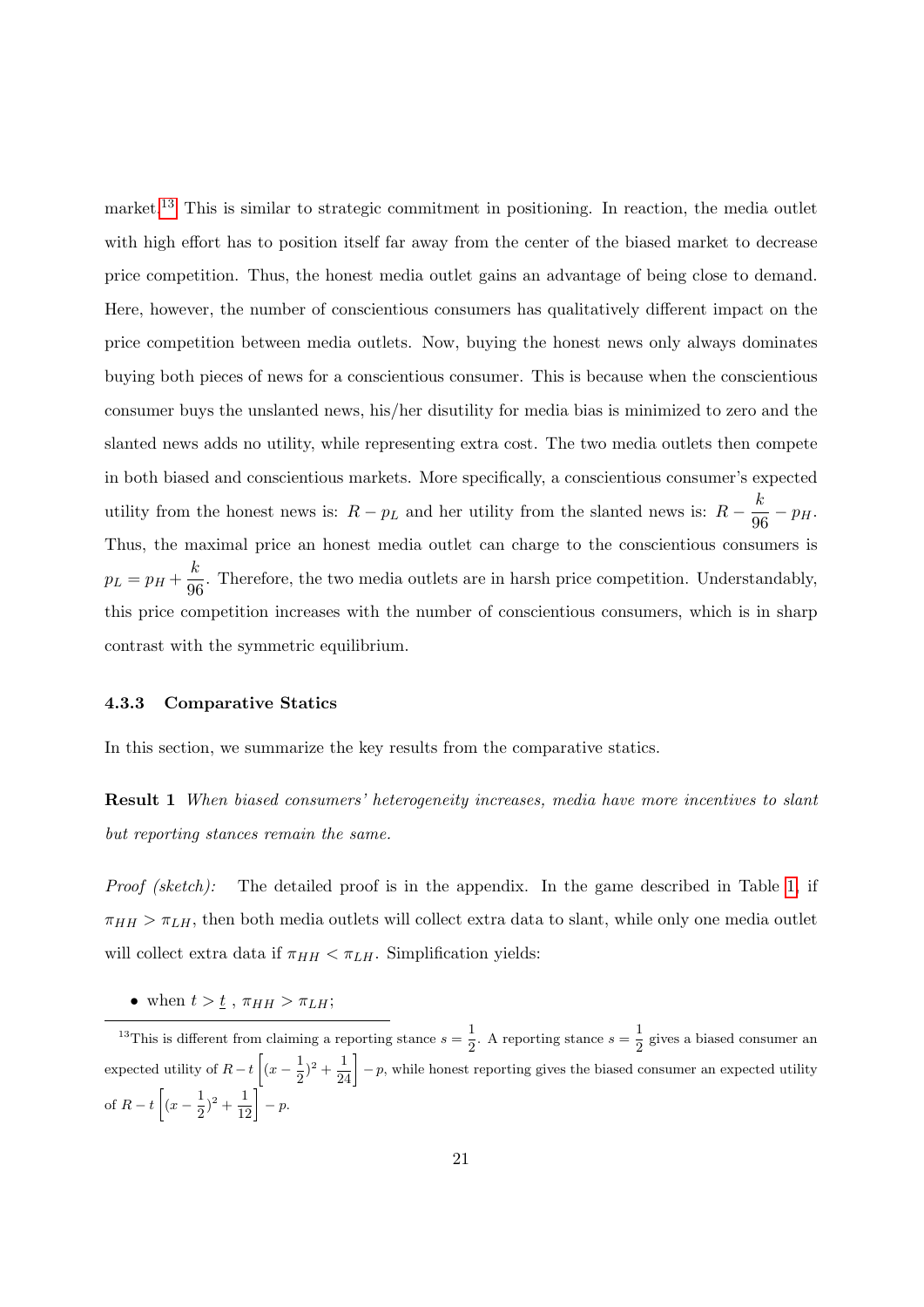market.<sup>[13](#page-23-0)</sup> This is similar to strategic commitment in positioning. In reaction, the media outlet with high effort has to position itself far away from the center of the biased market to decrease price competition. Thus, the honest media outlet gains an advantage of being close to demand. Here, however, the number of conscientious consumers has qualitatively different impact on the price competition between media outlets. Now, buying the honest news only always dominates buying both pieces of news for a conscientious consumer. This is because when the conscientious consumer buys the unslanted news, his/her disutility for media bias is minimized to zero and the slanted news adds no utility, while representing extra cost. The two media outlets then compete in both biased and conscientious markets. More specifically, a conscientious consumer's expected utility from the honest news is:  $R - p<sub>L</sub>$  and her utility from the slanted news is:  $R - \frac{k}{\alpha}$  $\frac{16}{96} - p_H.$ Thus, the maximal price an honest media outlet can charge to the conscientious consumers is  $p_L = p_H + \frac{k}{\alpha}$  $\frac{6}{96}$ . Therefore, the two media outlets are in harsh price competition. Understandably, this price competition increases with the number of conscientious consumers, which is in sharp contrast with the symmetric equilibrium.

#### 4.3.3 Comparative Statics

In this section, we summarize the key results from the comparative statics.

**Result 1** When biased consumers' heterogeneity increases, media have more incentives to slant but reporting stances remain the same.

Proof (sketch): The detailed proof is in the appendix. In the game described in Table [1,](#page-20-3) if  $\pi_{HH} > \pi_{LH}$ , then both media outlets will collect extra data to slant, while only one media outlet will collect extra data if  $\pi_{HH} < \pi_{LH}$ . Simplification yields:

<span id="page-23-0"></span>• when  $t > \underline{t}$ ,  $\pi_{HH} > \pi_{LH}$ ;

<sup>13</sup>This is different from claiming a reporting stance  $s = \frac{1}{2}$  $\frac{1}{2}$ . A reporting stance  $s = \frac{1}{2}$  $\frac{1}{2}$  gives a biased consumer an expected utility of  $R-t\left[(x-\frac{1}{2}\right)]$  $\frac{1}{2}$ )<sup>2</sup> +  $\frac{1}{24}$  - p, while honest reporting gives the biased consumer an expected utility of  $R-t\left[(x-\frac{1}{2}\right]$  $(\frac{1}{2})^2 + \frac{1}{12}$  - p.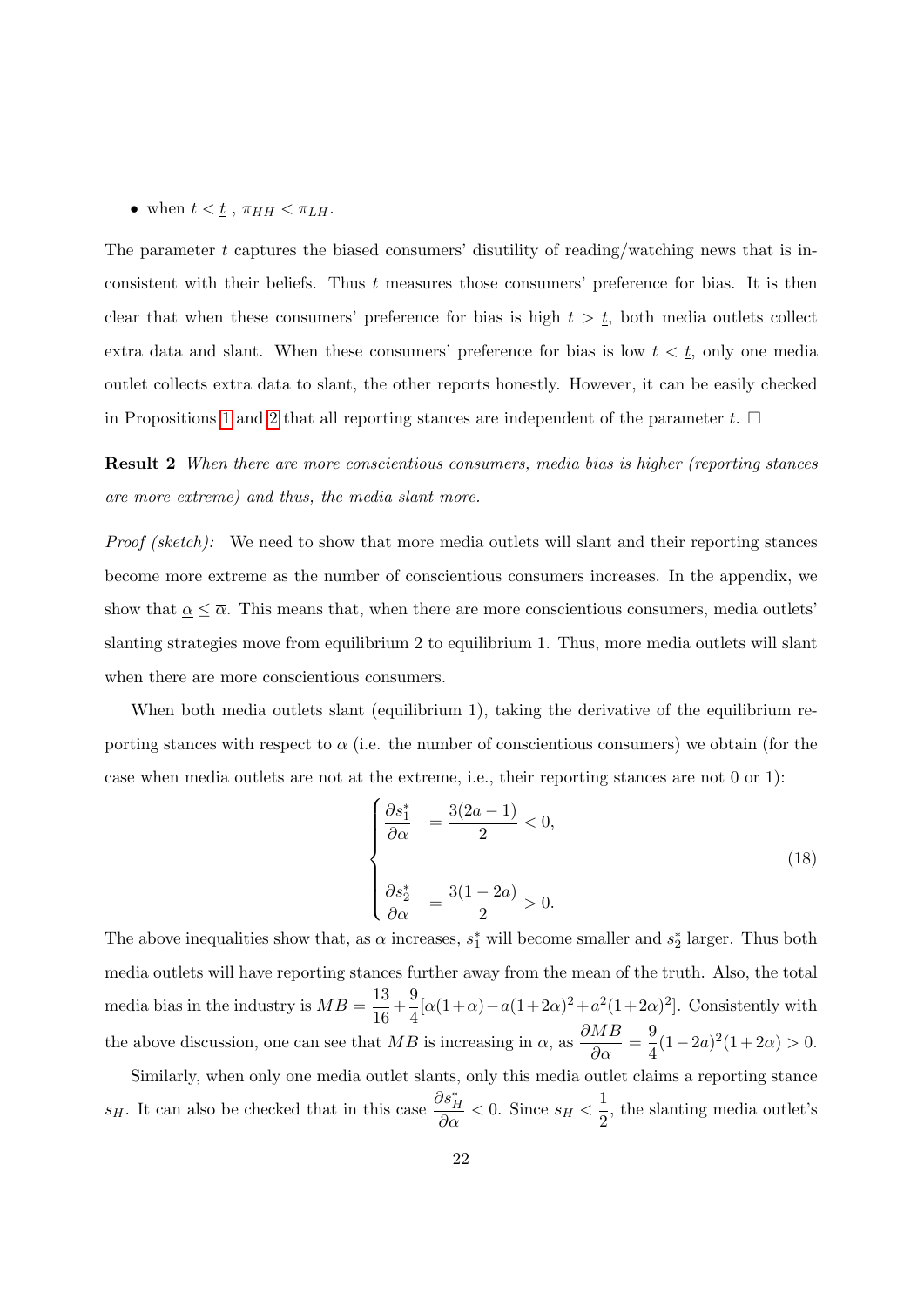• when  $t < \underline{t}$ ,  $\pi_{HH} < \pi_{LH}$ .

The parameter  $t$  captures the biased consumers' disutility of reading/watching news that is inconsistent with their beliefs. Thus  $t$  measures those consumers' preference for bias. It is then clear that when these consumers' preference for bias is high  $t > t$ , both media outlets collect extra data and slant. When these consumers' preference for bias is low  $t < t$ , only one media outlet collects extra data to slant, the other reports honestly. However, it can be easily checked in Propositions [1](#page-20-2) and [2](#page-22-0) that all reporting stances are independent of the parameter t.  $\Box$ 

**Result 2** When there are more conscientious consumers, media bias is higher (reporting stances are more extreme) and thus, the media slant more.

Proof (sketch): We need to show that more media outlets will slant and their reporting stances become more extreme as the number of conscientious consumers increases. In the appendix, we show that  $\alpha \leq \overline{\alpha}$ . This means that, when there are more conscientious consumers, media outlets' slanting strategies move from equilibrium 2 to equilibrium 1. Thus, more media outlets will slant when there are more conscientious consumers.

When both media outlets slant (equilibrium 1), taking the derivative of the equilibrium reporting stances with respect to  $\alpha$  (i.e. the number of conscientious consumers) we obtain (for the case when media outlets are not at the extreme, i.e., their reporting stances are not 0 or 1):

$$
\begin{cases}\n\frac{\partial s_1^*}{\partial \alpha} = \frac{3(2a-1)}{2} < 0, \\
\frac{\partial s_2^*}{\partial \alpha} = \frac{3(1-2a)}{2} > 0.\n\end{cases} \tag{18}
$$

The above inequalities show that, as  $\alpha$  increases,  $s_1^*$  will become smaller and  $s_2^*$  larger. Thus both media outlets will have reporting stances further away from the mean of the truth. Also, the total media bias in the industry is  $MB = \frac{13}{16}$  $\frac{13}{16} + \frac{9}{4}$  $\frac{3}{4}[\alpha(1+\alpha)-a(1+2\alpha)^2+a^2(1+2\alpha)^2].$  Consistently with the above discussion, one can see that  $MB$  is increasing in  $\alpha$ , as  $\frac{\partial MB}{\partial \alpha} = \frac{9}{4}$  $\frac{3}{4}(1-2a)^2(1+2\alpha) > 0.$ 

Similarly, when only one media outlet slants, only this media outlet claims a reporting stance  $s_H$ . It can also be checked that in this case  $\frac{\partial s_H^*}{\partial \alpha} < 0$ . Since  $s_H < \frac{1}{2}$  $\frac{1}{2}$ , the slanting media outlet's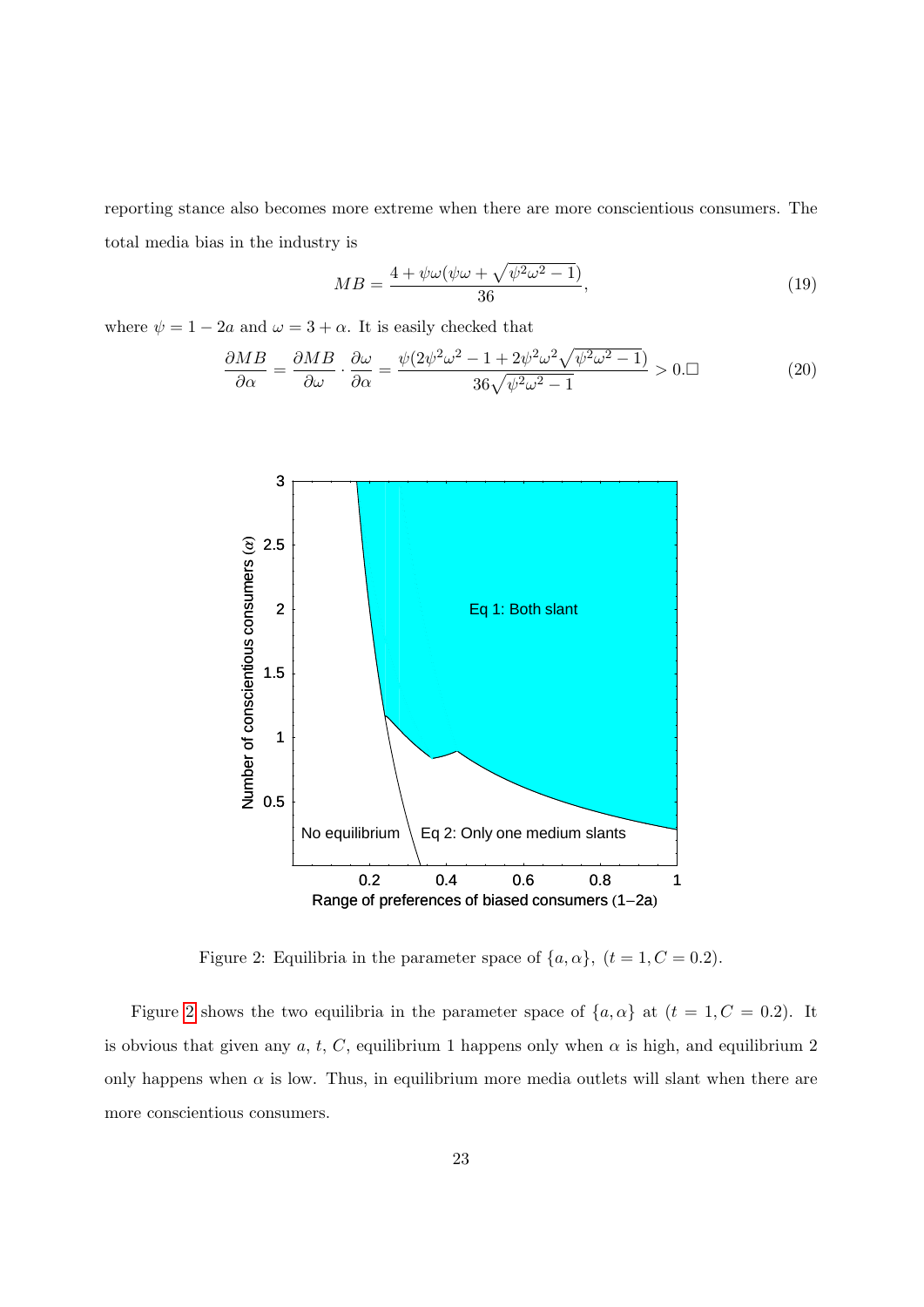reporting stance also becomes more extreme when there are more conscientious consumers. The total media bias in the industry is

$$
MB = \frac{4 + \psi\omega(\psi\omega + \sqrt{\psi^2\omega^2 - 1})}{36},\tag{19}
$$

where  $\psi = 1 - 2a$  and  $\omega = 3 + \alpha$ . It is easily checked that

$$
\frac{\partial MB}{\partial \alpha} = \frac{\partial MB}{\partial \omega} \cdot \frac{\partial \omega}{\partial \alpha} = \frac{\psi(2\psi^2 \omega^2 - 1 + 2\psi^2 \omega^2 \sqrt{\psi^2 \omega^2 - 1})}{36\sqrt{\psi^2 \omega^2 - 1}} > 0.\square
$$
\n(20)



<span id="page-25-0"></span>Figure 2: Equilibria in the parameter space of  $\{a, \alpha\}$ ,  $(t = 1, C = 0.2)$ .

Figure [2](#page-25-0) shows the two equilibria in the parameter space of  $\{a, \alpha\}$  at  $(t = 1, C = 0.2)$ . It is obvious that given any  $a, t, C$ , equilibrium 1 happens only when  $\alpha$  is high, and equilibrium 2 only happens when  $\alpha$  is low. Thus, in equilibrium more media outlets will slant when there are more conscientious consumers.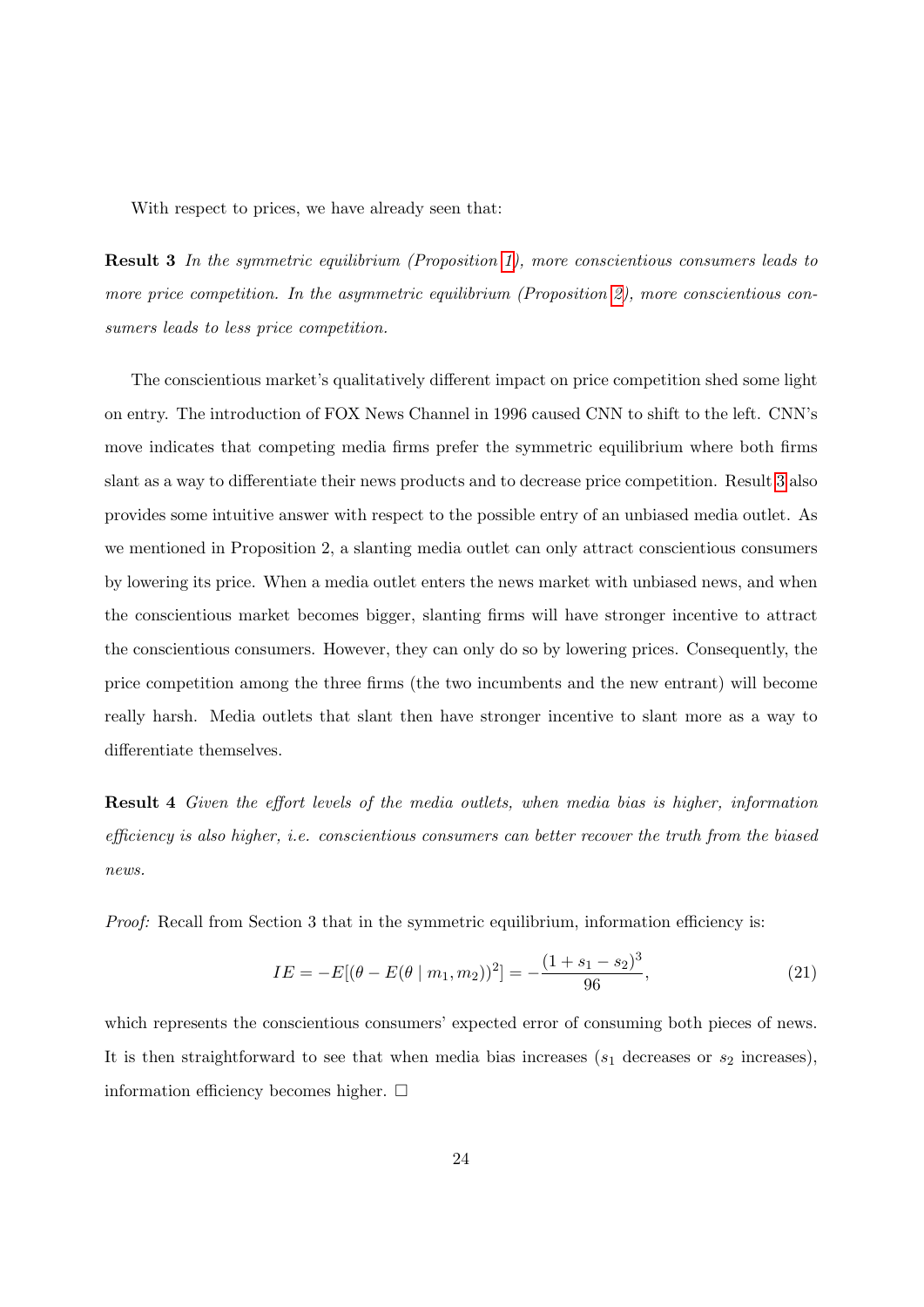<span id="page-26-0"></span>With respect to prices, we have already seen that:

Result 3 In the symmetric equilibrium (Proposition [1\)](#page-20-2), more conscientious consumers leads to more price competition. In the asymmetric equilibrium (Proposition [2\)](#page-22-0), more conscientious consumers leads to less price competition.

The conscientious market's qualitatively different impact on price competition shed some light on entry. The introduction of FOX News Channel in 1996 caused CNN to shift to the left. CNN's move indicates that competing media firms prefer the symmetric equilibrium where both firms slant as a way to differentiate their news products and to decrease price competition. Result [3](#page-26-0) also provides some intuitive answer with respect to the possible entry of an unbiased media outlet. As we mentioned in Proposition 2, a slanting media outlet can only attract conscientious consumers by lowering its price. When a media outlet enters the news market with unbiased news, and when the conscientious market becomes bigger, slanting firms will have stronger incentive to attract the conscientious consumers. However, they can only do so by lowering prices. Consequently, the price competition among the three firms (the two incumbents and the new entrant) will become really harsh. Media outlets that slant then have stronger incentive to slant more as a way to differentiate themselves.

Result 4 Given the effort levels of the media outlets, when media bias is higher, information efficiency is also higher, i.e. conscientious consumers can better recover the truth from the biased news.

Proof: Recall from Section 3 that in the symmetric equilibrium, information efficiency is:

$$
IE = -E[(\theta - E(\theta \mid m_1, m_2))^2] = -\frac{(1 + s_1 - s_2)^3}{96},\tag{21}
$$

which represents the conscientious consumers' expected error of consuming both pieces of news. It is then straightforward to see that when media bias increases  $(s_1$  decreases or  $s_2$  increases), information efficiency becomes higher.  $\square$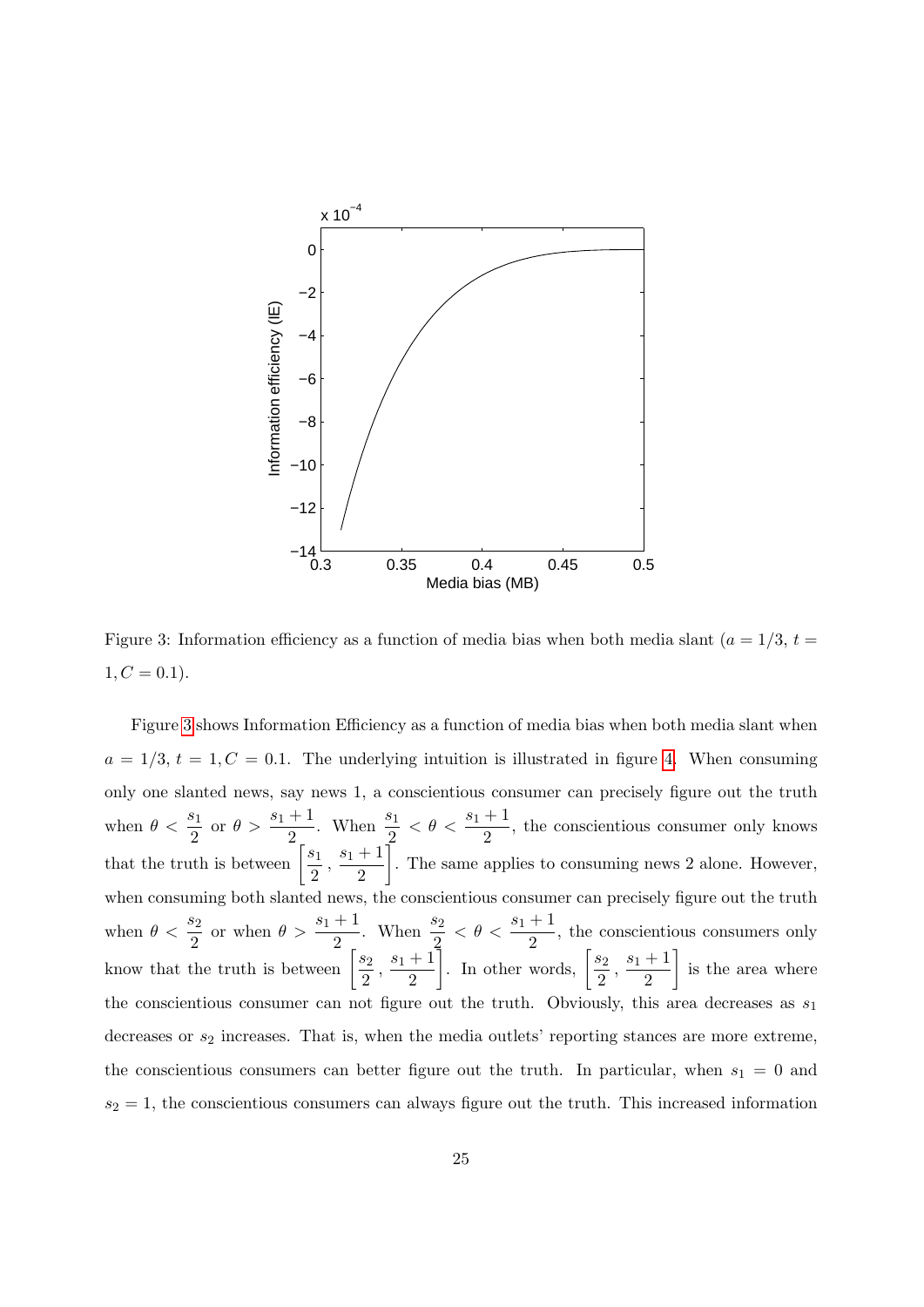

<span id="page-27-0"></span>Figure 3: Information efficiency as a function of media bias when both media slant ( $a = 1/3$ ,  $t =$  $1, C = 0.1$ .

Figure [3](#page-27-0) shows Information Efficiency as a function of media bias when both media slant when  $a = 1/3$ ,  $t = 1, C = 0.1$ . The underlying intuition is illustrated in figure [4.](#page-28-0) When consuming only one slanted news, say news 1, a conscientious consumer can precisely figure out the truth when  $\theta < \frac{s_1}{2}$  or  $\theta > \frac{s_1+1}{2}$ . When  $\frac{s_1}{2} < \theta < \frac{s_1+1}{2}$ , the conscientious consumer only knows that the truth is between  $\frac{s_1}{s_2}$  $\frac{s_1}{2}, \frac{s_1+1}{2}$ 2 . The same applies to consuming news 2 alone. However, when consuming both slanted news, the conscientious consumer can precisely figure out the truth when  $\theta < \frac{s_2}{2}$  or when  $\theta > \frac{s_1+1}{2}$ . When  $\frac{s_2}{2} < \theta < \frac{s_1+1}{2}$ , the conscientious consumers only know that the truth is between  $\frac{s_2}{s_1}$  $\frac{s_2}{2}, \frac{s_1+1}{2}$ 2 . In other words,  $\frac{s_2}{s_1}$  $\frac{s_2}{2}, \frac{s_1+1}{2}$ 2 is the area where the conscientious consumer can not figure out the truth. Obviously, this area decreases as  $s_1$ decreases or  $s_2$  increases. That is, when the media outlets' reporting stances are more extreme, the conscientious consumers can better figure out the truth. In particular, when  $s_1 = 0$  and  $s_2 = 1$ , the conscientious consumers can always figure out the truth. This increased information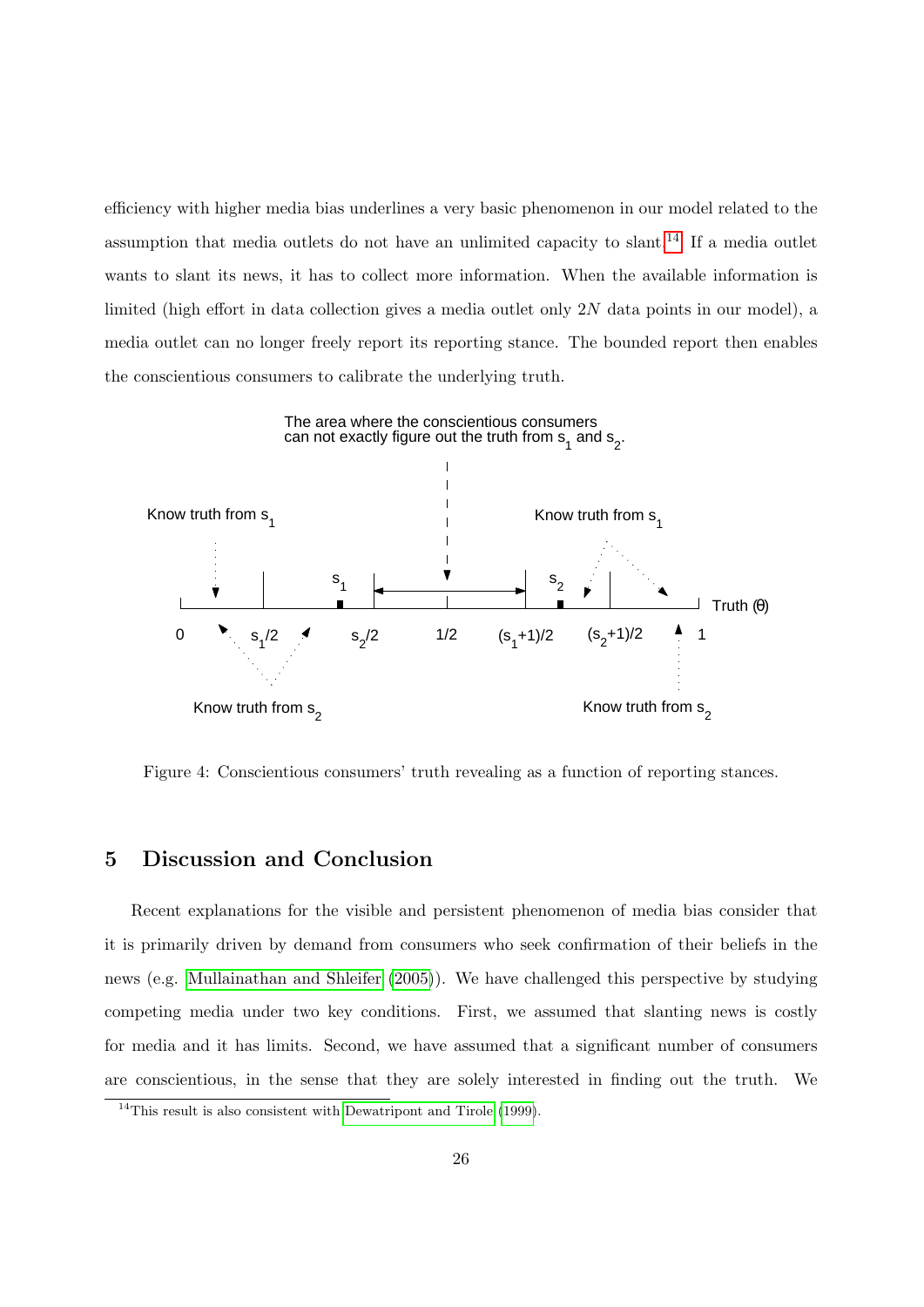efficiency with higher media bias underlines a very basic phenomenon in our model related to the assumption that media outlets do not have an unlimited capacity to slant.<sup>[14](#page-28-1)</sup> If a media outlet wants to slant its news, it has to collect more information. When the available information is limited (high effort in data collection gives a media outlet only 2N data points in our model), a media outlet can no longer freely report its reporting stance. The bounded report then enables the conscientious consumers to calibrate the underlying truth.



<span id="page-28-0"></span>Figure 4: Conscientious consumers' truth revealing as a function of reporting stances.

## 5 Discussion and Conclusion

Recent explanations for the visible and persistent phenomenon of media bias consider that it is primarily driven by demand from consumers who seek confirmation of their beliefs in the news (e.g. [Mullainathan and Shleifer](#page-32-1) [\(2005\)](#page-32-1)). We have challenged this perspective by studying competing media under two key conditions. First, we assumed that slanting news is costly for media and it has limits. Second, we have assumed that a significant number of consumers are conscientious, in the sense that they are solely interested in finding out the truth. We

<span id="page-28-1"></span> $14$ This result is also consistent with [Dewatripont and Tirole](#page-31-13) [\(1999\)](#page-31-13).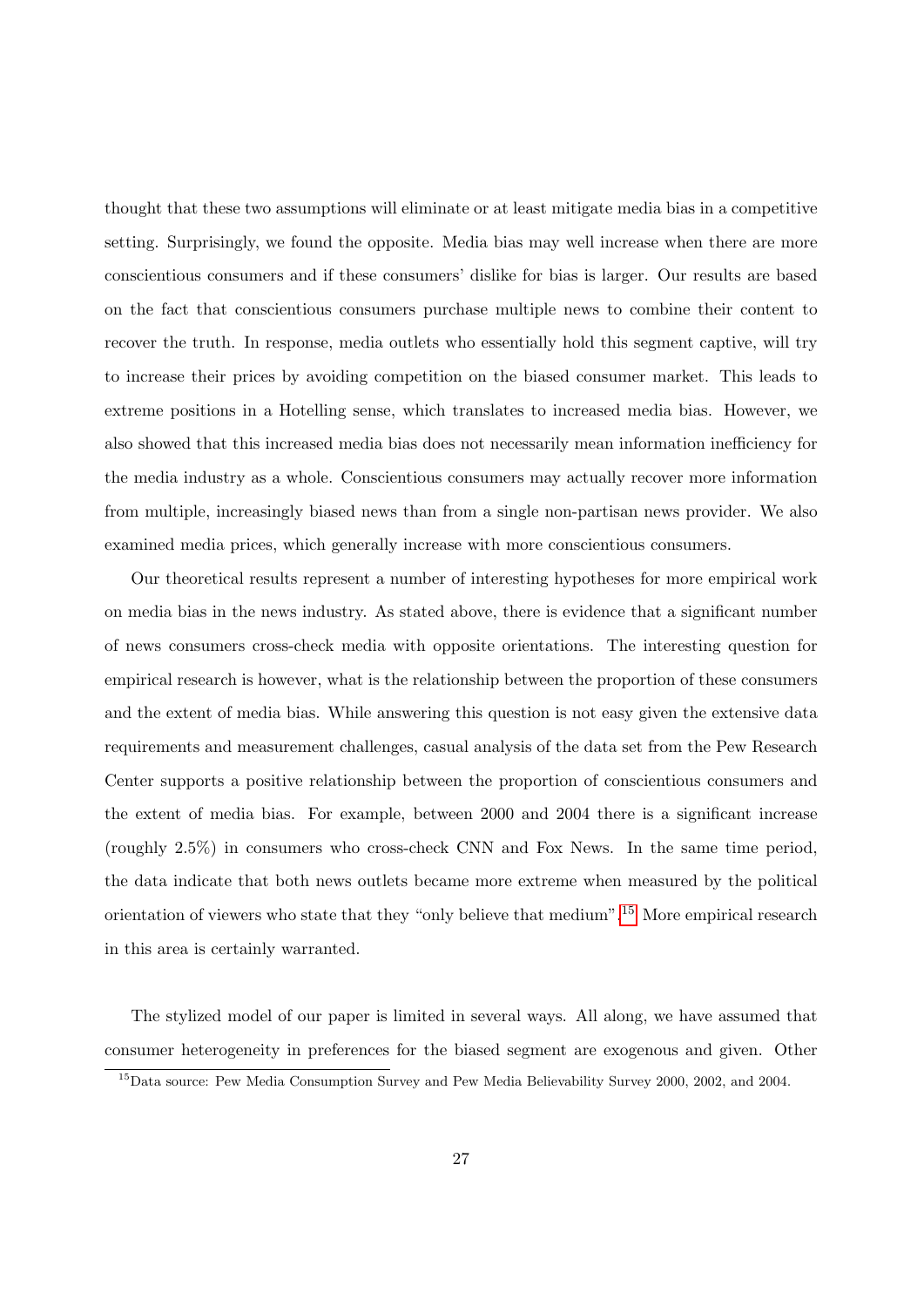thought that these two assumptions will eliminate or at least mitigate media bias in a competitive setting. Surprisingly, we found the opposite. Media bias may well increase when there are more conscientious consumers and if these consumers' dislike for bias is larger. Our results are based on the fact that conscientious consumers purchase multiple news to combine their content to recover the truth. In response, media outlets who essentially hold this segment captive, will try to increase their prices by avoiding competition on the biased consumer market. This leads to extreme positions in a Hotelling sense, which translates to increased media bias. However, we also showed that this increased media bias does not necessarily mean information inefficiency for the media industry as a whole. Conscientious consumers may actually recover more information from multiple, increasingly biased news than from a single non-partisan news provider. We also examined media prices, which generally increase with more conscientious consumers.

Our theoretical results represent a number of interesting hypotheses for more empirical work on media bias in the news industry. As stated above, there is evidence that a significant number of news consumers cross-check media with opposite orientations. The interesting question for empirical research is however, what is the relationship between the proportion of these consumers and the extent of media bias. While answering this question is not easy given the extensive data requirements and measurement challenges, casual analysis of the data set from the Pew Research Center supports a positive relationship between the proportion of conscientious consumers and the extent of media bias. For example, between 2000 and 2004 there is a significant increase (roughly 2.5%) in consumers who cross-check CNN and Fox News. In the same time period, the data indicate that both news outlets became more extreme when measured by the political orientation of viewers who state that they "only believe that medium".[15](#page-29-0) More empirical research in this area is certainly warranted.

The stylized model of our paper is limited in several ways. All along, we have assumed that consumer heterogeneity in preferences for the biased segment are exogenous and given. Other

<span id="page-29-0"></span><sup>15</sup>Data source: Pew Media Consumption Survey and Pew Media Believability Survey 2000, 2002, and 2004.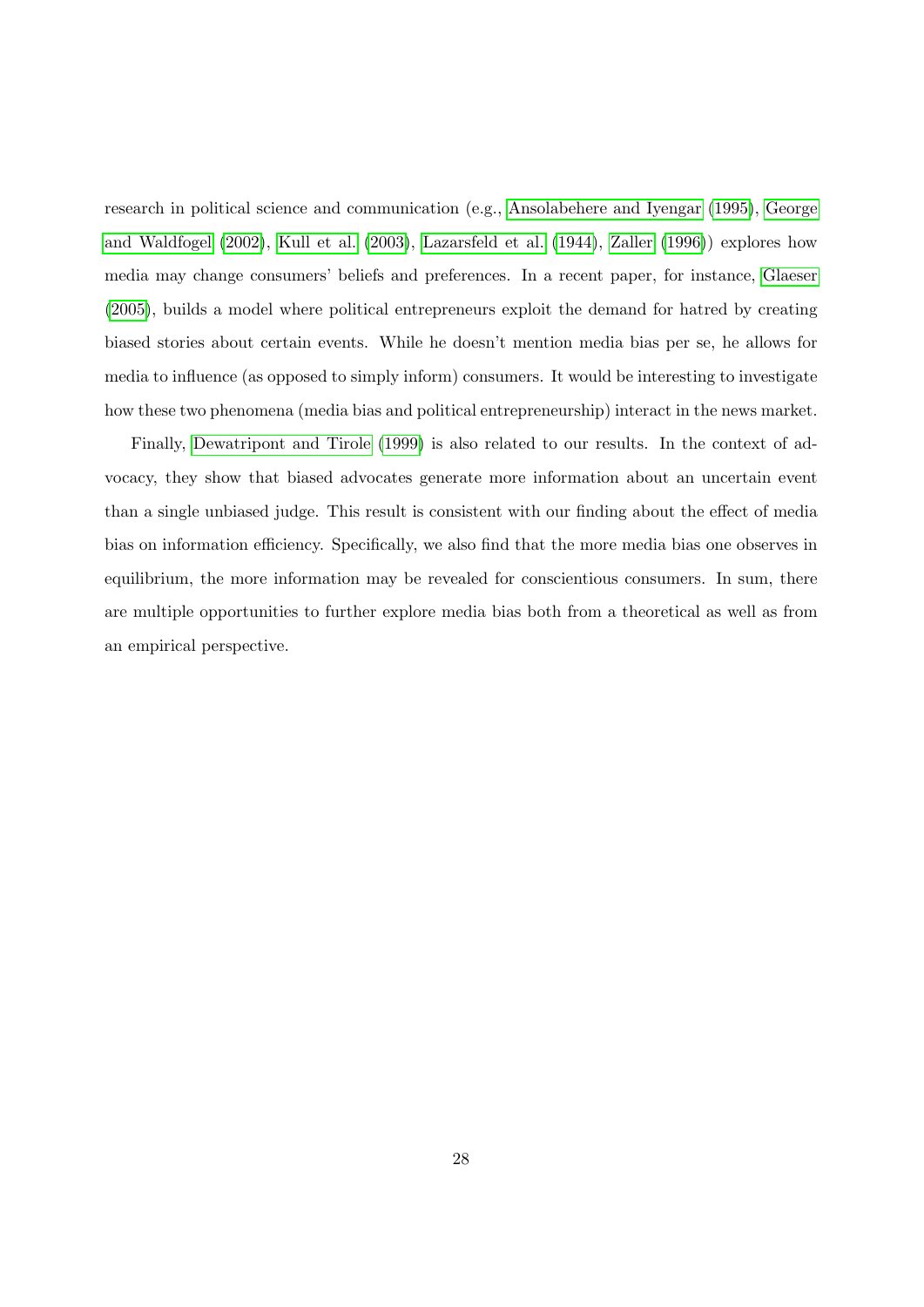research in political science and communication (e.g., [Ansolabehere and Iyengar](#page-31-14) [\(1995\)](#page-31-14), [George](#page-31-15) [and Waldfogel](#page-31-15) [\(2002\)](#page-31-15), [Kull et al.](#page-32-12) [\(2003\)](#page-32-12), [Lazarsfeld et al.](#page-32-13) [\(1944\)](#page-32-13), [Zaller](#page-33-0) [\(1996\)](#page-33-0)) explores how media may change consumers' beliefs and preferences. In a recent paper, for instance, [Glaeser](#page-32-14) [\(2005\)](#page-32-14), builds a model where political entrepreneurs exploit the demand for hatred by creating biased stories about certain events. While he doesn't mention media bias per se, he allows for media to influence (as opposed to simply inform) consumers. It would be interesting to investigate how these two phenomena (media bias and political entrepreneurship) interact in the news market.

Finally, [Dewatripont and Tirole](#page-31-13) [\(1999\)](#page-31-13) is also related to our results. In the context of advocacy, they show that biased advocates generate more information about an uncertain event than a single unbiased judge. This result is consistent with our finding about the effect of media bias on information efficiency. Specifically, we also find that the more media bias one observes in equilibrium, the more information may be revealed for conscientious consumers. In sum, there are multiple opportunities to further explore media bias both from a theoretical as well as from an empirical perspective.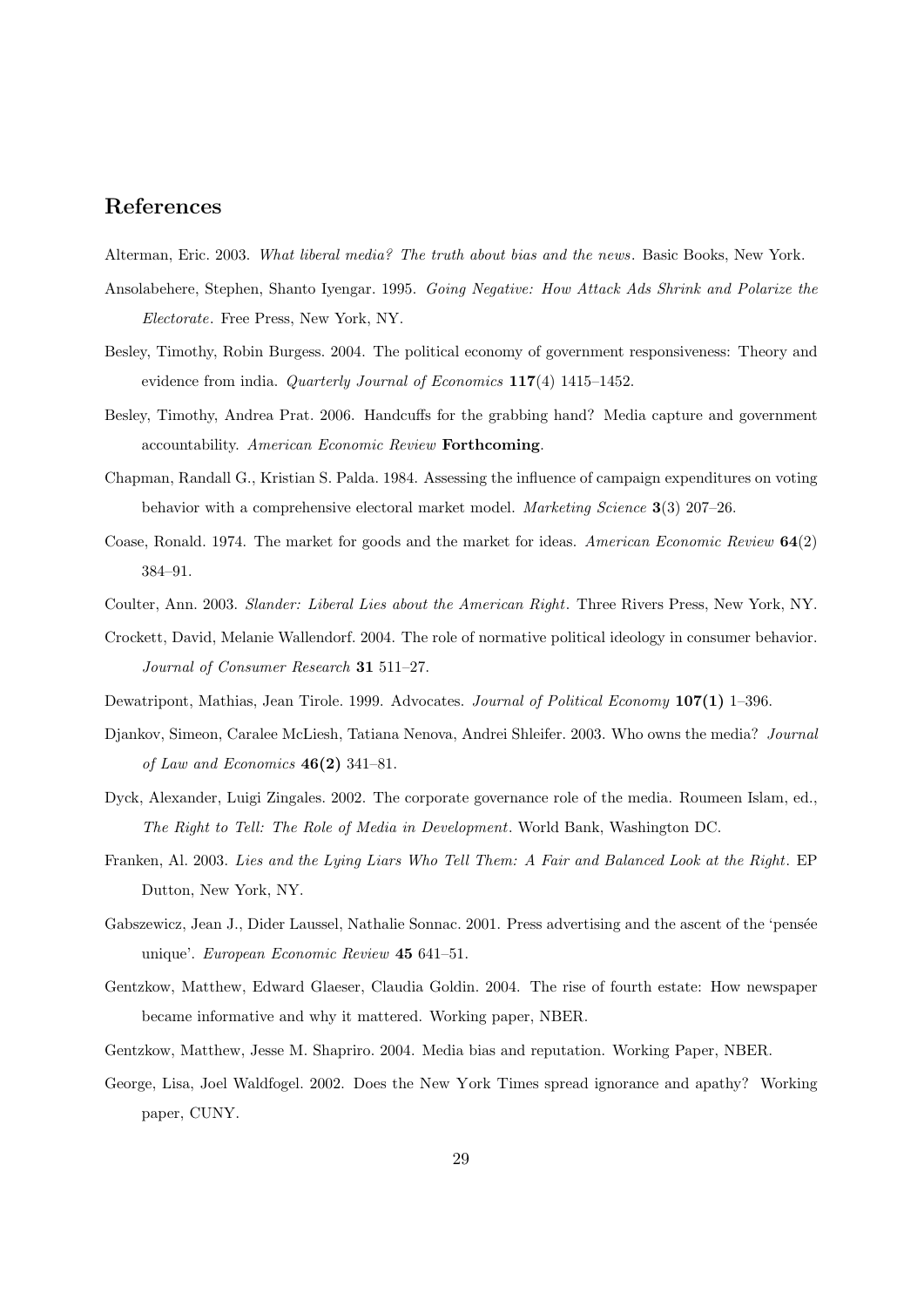## References

<span id="page-31-14"></span><span id="page-31-2"></span>Alterman, Eric. 2003. What liberal media? The truth about bias and the news. Basic Books, New York.

- Ansolabehere, Stephen, Shanto Iyengar. 1995. Going Negative: How Attack Ads Shrink and Polarize the Electorate. Free Press, New York, NY.
- <span id="page-31-6"></span>Besley, Timothy, Robin Burgess. 2004. The political economy of government responsiveness: Theory and evidence from india. Quarterly Journal of Economics 117(4) 1415-1452.
- <span id="page-31-9"></span>Besley, Timothy, Andrea Prat. 2006. Handcuffs for the grabbing hand? Media capture and government accountability. American Economic Review Forthcoming.
- <span id="page-31-11"></span>Chapman, Randall G., Kristian S. Palda. 1984. Assessing the influence of campaign expenditures on voting behavior with a comprehensive electoral market model. Marketing Science 3(3) 207–26.
- <span id="page-31-5"></span>Coase, Ronald. 1974. The market for goods and the market for ideas. American Economic Review 64(2) 384–91.
- <span id="page-31-12"></span><span id="page-31-1"></span>Coulter, Ann. 2003. Slander: Liberal Lies about the American Right. Three Rivers Press, New York, NY.
- Crockett, David, Melanie Wallendorf. 2004. The role of normative political ideology in consumer behavior. Journal of Consumer Research 31 511–27.
- <span id="page-31-13"></span><span id="page-31-10"></span>Dewatripont, Mathias, Jean Tirole. 1999. Advocates. Journal of Political Economy 107(1) 1–396.
- Djankov, Simeon, Caralee McLiesh, Tatiana Nenova, Andrei Shleifer. 2003. Who owns the media? Journal of Law and Economics  $46(2)$  341-81.
- <span id="page-31-7"></span>Dyck, Alexander, Luigi Zingales. 2002. The corporate governance role of the media. Roumeen Islam, ed., The Right to Tell: The Role of Media in Development. World Bank, Washington DC.
- <span id="page-31-3"></span>Franken, Al. 2003. Lies and the Lying Liars Who Tell Them: A Fair and Balanced Look at the Right. EP Dutton, New York, NY.
- <span id="page-31-4"></span>Gabszewicz, Jean J., Dider Laussel, Nathalie Sonnac. 2001. Press advertising and the ascent of the 'pensée unique'. European Economic Review 45 641–51.
- <span id="page-31-8"></span>Gentzkow, Matthew, Edward Glaeser, Claudia Goldin. 2004. The rise of fourth estate: How newspaper became informative and why it mattered. Working paper, NBER.
- <span id="page-31-15"></span><span id="page-31-0"></span>Gentzkow, Matthew, Jesse M. Shapriro. 2004. Media bias and reputation. Working Paper, NBER.
- George, Lisa, Joel Waldfogel. 2002. Does the New York Times spread ignorance and apathy? Working paper, CUNY.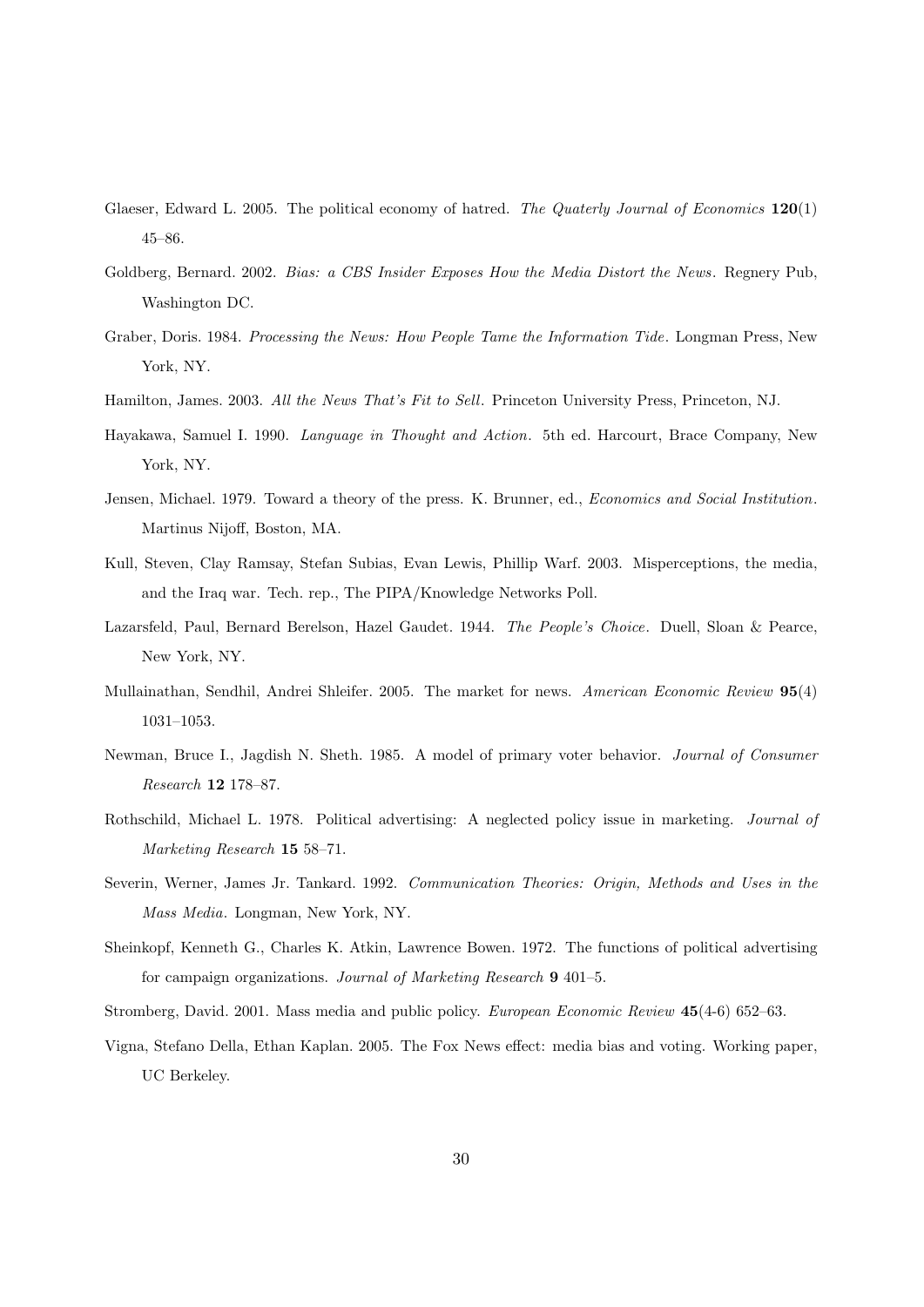- <span id="page-32-14"></span>Glaeser, Edward L. 2005. The political economy of hatred. The Quaterly Journal of Economics  $120(1)$ 45–86.
- <span id="page-32-0"></span>Goldberg, Bernard. 2002. Bias: a CBS Insider Exposes How the Media Distort the News. Regnery Pub, Washington DC.
- <span id="page-32-4"></span>Graber, Doris. 1984. Processing the News: How People Tame the Information Tide. Longman Press, New York, NY.
- <span id="page-32-5"></span><span id="page-32-2"></span>Hamilton, James. 2003. All the News That's Fit to Sell. Princeton University Press, Princeton, NJ.
- Hayakawa, Samuel I. 1990. *Language in Thought and Action*. 5th ed. Harcourt, Brace Company, New York, NY.
- <span id="page-32-3"></span>Jensen, Michael. 1979. Toward a theory of the press. K. Brunner, ed., Economics and Social Institution. Martinus Nijoff, Boston, MA.
- <span id="page-32-12"></span>Kull, Steven, Clay Ramsay, Stefan Subias, Evan Lewis, Phillip Warf. 2003. Misperceptions, the media, and the Iraq war. Tech. rep., The PIPA/Knowledge Networks Poll.
- <span id="page-32-13"></span>Lazarsfeld, Paul, Bernard Berelson, Hazel Gaudet. 1944. The People's Choice. Duell, Sloan & Pearce, New York, NY.
- <span id="page-32-1"></span>Mullainathan, Sendhil, Andrei Shleifer. 2005. The market for news. American Economic Review 95(4) 1031–1053.
- <span id="page-32-11"></span>Newman, Bruce I., Jagdish N. Sheth. 1985. A model of primary voter behavior. Journal of Consumer Research 12 178–87.
- <span id="page-32-10"></span>Rothschild, Michael L. 1978. Political advertising: A neglected policy issue in marketing. Journal of Marketing Research 15 58–71.
- <span id="page-32-6"></span>Severin, Werner, James Jr. Tankard. 1992. Communication Theories: Origin, Methods and Uses in the Mass Media. Longman, New York, NY.
- <span id="page-32-9"></span>Sheinkopf, Kenneth G., Charles K. Atkin, Lawrence Bowen. 1972. The functions of political advertising for campaign organizations. Journal of Marketing Research 9 401–5.
- <span id="page-32-8"></span><span id="page-32-7"></span>Stromberg, David. 2001. Mass media and public policy. *European Economic Review* 45(4-6) 652–63.
- Vigna, Stefano Della, Ethan Kaplan. 2005. The Fox News effect: media bias and voting. Working paper, UC Berkeley.